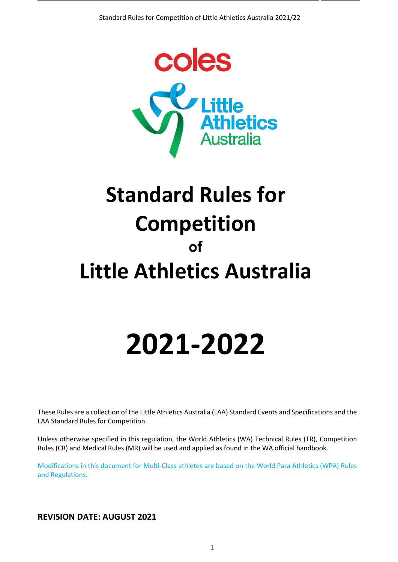

# **Standard Rules for Competition of Little Athletics Australia**

# **2021-2022**

These Rules are a collection of the Little Athletics Australia (LAA) Standard Events and Specifications and the LAA Standard Rules for Competition.

Unless otherwise specified in this regulation, the World Athletics (WA) Technical Rules (TR), Competition Rules (CR) and Medical Rules (MR) will be used and applied as found in the WA official handbook.

Modifications in this document for Multi-Class athletes are based on the World Para Athletics (WPA) Rules and Regulations.

**REVISION DATE: AUGUST 2021**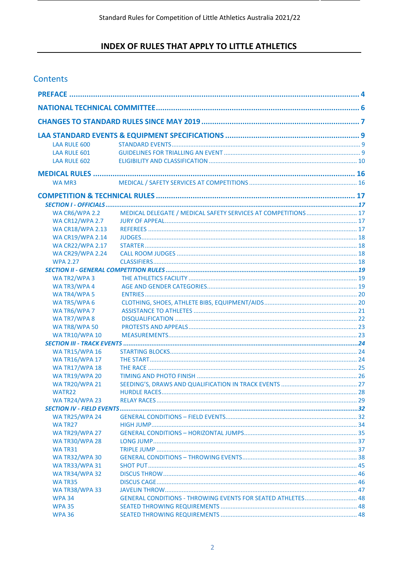## **INDEX OF RULES THAT APPLY TO LITTLE ATHLETICS**

## Contents

| <b>LAA RULE 600</b>     |                                                                |  |
|-------------------------|----------------------------------------------------------------|--|
| <b>LAA RULE 601</b>     |                                                                |  |
| LAA RULE 602            |                                                                |  |
|                         |                                                                |  |
| <b>WA MR3</b>           |                                                                |  |
|                         |                                                                |  |
|                         |                                                                |  |
| <b>WA CR6/WPA 2.2</b>   | MEDICAL DELEGATE / MEDICAL SAFETY SERVICES AT COMPETITIONS  17 |  |
| <b>WA CR12/WPA 2.7</b>  |                                                                |  |
| <b>WA CR18/WPA 2.13</b> |                                                                |  |
| <b>WA CR19/WPA 2.14</b> |                                                                |  |
| <b>WA CR22/WPA 2.17</b> |                                                                |  |
| <b>WA CR29/WPA 2.24</b> |                                                                |  |
| <b>WPA 2.27</b>         |                                                                |  |
|                         |                                                                |  |
| WA TR2/WPA 3            |                                                                |  |
| WA TR3/WPA 4            |                                                                |  |
| WA TR4/WPA 5            |                                                                |  |
| WA TR5/WPA 6            |                                                                |  |
| WA TR6/WPA 7            |                                                                |  |
| WA TR7/WPA 8            |                                                                |  |
| WA TR8/WPA 50           |                                                                |  |
| <b>WA TR10/WPA 10</b>   |                                                                |  |
|                         |                                                                |  |
| <b>WA TR15/WPA 16</b>   |                                                                |  |
| <b>WA TR16/WPA 17</b>   |                                                                |  |
| <b>WA TR17/WPA 18</b>   |                                                                |  |
| <b>WA TR19/WPA 20</b>   |                                                                |  |
| <b>WA TR20/WPA 21</b>   |                                                                |  |
| WATR22                  |                                                                |  |
| <b>WA TR24/WPA 23</b>   |                                                                |  |
|                         |                                                                |  |
| <b>WA TR25/WPA 24</b>   |                                                                |  |
| WA TR27                 |                                                                |  |
| <b>WA TR29/WPA 27</b>   |                                                                |  |
| <b>WA TR30/WPA 28</b>   |                                                                |  |
| WA TR31                 |                                                                |  |
| <b>WA TR32/WPA 30</b>   |                                                                |  |
| <b>WA TR33/WPA 31</b>   |                                                                |  |
| <b>WA TR34/WPA 32</b>   |                                                                |  |
| <b>WATR35</b>           |                                                                |  |
| <b>WA TR38/WPA 33</b>   |                                                                |  |
| <b>WPA 34</b>           | GENERAL CONDITIONS - THROWING EVENTS FOR SEATED ATHLETES 48    |  |
| <b>WPA 35</b>           |                                                                |  |
| <b>WPA 36</b>           |                                                                |  |
|                         |                                                                |  |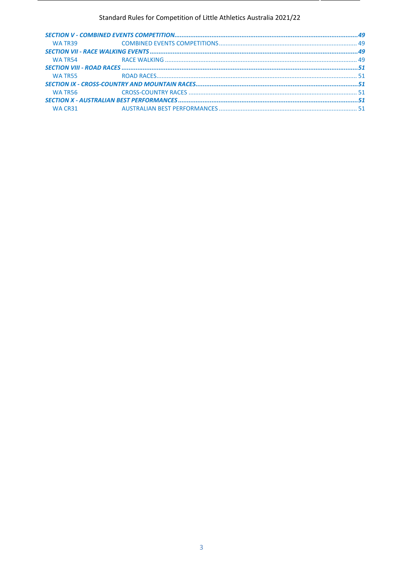#### Standard Rules for Competition of Little Athletics Australia 2021/22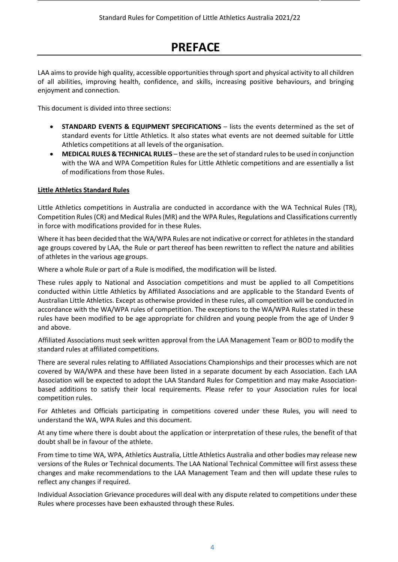## **PREFACE**

<span id="page-3-0"></span>LAA aims to provide high quality, accessible opportunities through sport and physical activity to all children of all abilities, improving health, confidence, and skills, increasing positive behaviours, and bringing enjoyment and connection.

This document is divided into three sections:

- **STANDARD EVENTS & EQUIPMENT SPECIFICATIONS**  lists the events determined as the set of standard events for Little Athletics. It also states what events are not deemed suitable for Little Athletics competitions at all levels of the organisation.
- **MEDICAL RULES & TECHNICAL RULES** these are the set ofstandard rulesto be used in conjunction with the WA and WPA Competition Rules for Little Athletic competitions and are essentially a list of modifications from those Rules.

#### **Little Athletics Standard Rules**

Little Athletics competitions in Australia are conducted in accordance with the WA Technical Rules (TR), Competition Rules (CR) and Medical Rules (MR) and the WPA Rules, Regulations and Classifications currently in force with modifications provided for in these Rules.

Where it has been decided that the WA/WPA Rules are not indicative or correct for athletes in the standard age groups covered by LAA, the Rule or part thereof has been rewritten to reflect the nature and abilities of athletes in the various age groups.

Where a whole Rule or part of a Rule is modified, the modification will be listed.

These rules apply to National and Association competitions and must be applied to all Competitions conducted within Little Athletics by Affiliated Associations and are applicable to the Standard Events of Australian Little Athletics. Except as otherwise provided in these rules, all competition will be conducted in accordance with the WA/WPA rules of competition. The exceptions to the WA/WPA Rules stated in these rules have been modified to be age appropriate for children and young people from the age of Under 9 and above.

Affiliated Associations must seek written approval from the LAA Management Team or BOD to modify the standard rules at affiliated competitions.

There are several rules relating to Affiliated Associations Championships and their processes which are not covered by WA/WPA and these have been listed in a separate document by each Association. Each LAA Association will be expected to adopt the LAA Standard Rules for Competition and may make Associationbased additions to satisfy their local requirements. Please refer to your Association rules for local competition rules.

For Athletes and Officials participating in competitions covered under these Rules, you will need to understand the WA, WPA Rules and this document.

At any time where there is doubt about the application or interpretation of these rules, the benefit of that doubt shall be in favour of the athlete.

From time to time WA, WPA, Athletics Australia, Little Athletics Australia and other bodies may release new versions of the Rules or Technical documents. The LAA National Technical Committee will first assess these changes and make recommendations to the LAA Management Team and then will update these rules to reflect any changes if required.

Individual Association Grievance procedures will deal with any dispute related to competitions under these Rules where processes have been exhausted through these Rules.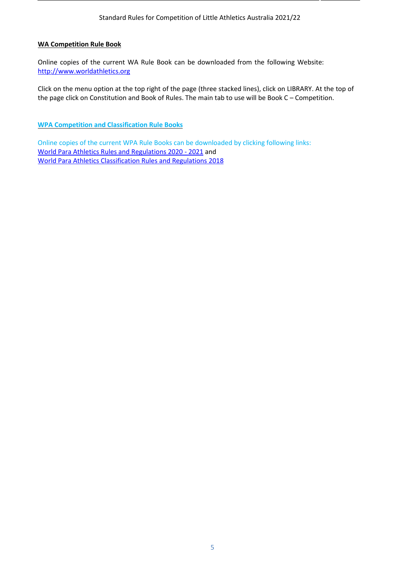#### **WA Competition Rule Book**

Online copies of the current WA Rule Book can be downloaded from the following Website: [http://www.worldathletics.org](http://www.worldathletics.org/)

Click on the menu option at the top right of the page (three stacked lines), click on LIBRARY. At the top of the page click on Constitution and Book of Rules. The main tab to use will be Book C – Competition.

**WPA Competition and Classification Rule Books**

Online copies of the current WPA Rule Books can be downloaded by clicking following links: [World Para Athletics Rules and Regulations 2020 -](https://www.paralympic.org/sites/default/files/2020-02/2020_02%20World%20Para%20Athletics%20Rules%20and%20Regulations%202020-2021_0.pdf) 2021 and [World Para Athletics Classification Rules and Regulations 2018](https://www.paralympic.org/sites/default/files/2020-01/180305152713114_2017_12_20%2B%2BWPA%2BClassification%2BRules%2Band%2BRegulations_Edition%2B2018%2Bonline%2Bversion%2B.pdf)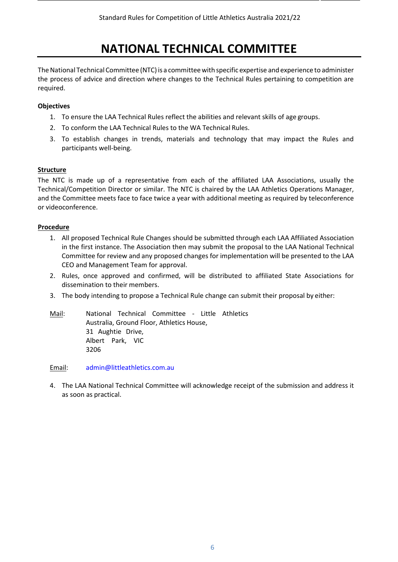# **NATIONAL TECHNICAL COMMITTEE**

<span id="page-5-0"></span>The National Technical Committee (NTC) is a committee with specific expertise and experience to administer the process of advice and direction where changes to the Technical Rules pertaining to competition are required.

#### **Objectives**

- 1. To ensure the LAA Technical Rules reflect the abilities and relevant skills of age groups.
- 2. To conform the LAA Technical Rules to the WA Technical Rules.
- 3. To establish changes in trends, materials and technology that may impact the Rules and participants well-being.

#### **Structure**

The NTC is made up of a representative from each of the affiliated LAA Associations, usually the Technical/Competition Director or similar. The NTC is chaired by the LAA Athletics Operations Manager, and the Committee meets face to face twice a year with additional meeting as required by teleconference or videoconference.

#### **Procedure**

- 1. All proposed Technical Rule Changes should be submitted through each LAA Affiliated Association in the first instance. The Association then may submit the proposal to the LAA National Technical Committee for review and any proposed changes for implementation will be presented to the LAA CEO and Management Team for approval.
- 2. Rules, once approved and confirmed, will be distributed to affiliated State Associations for dissemination to their members.
- 3. The body intending to propose a Technical Rule change can submit their proposal by either:

Mail: National Technical Committee - Little Athletics Australia, Ground Floor, Athletics House, 31 Aughtie Drive, Albert Park, VIC 3206

Email: [admin@littleathletics.com.au](mailto:admin@littleathletics.com.au)

4. The LAA National Technical Committee will acknowledge receipt of the submission and address it as soon as practical.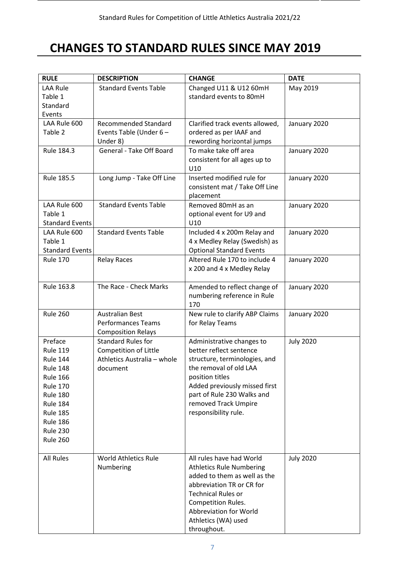# <span id="page-6-0"></span>**CHANGES TO STANDARD RULES SINCE MAY 2019**

| <b>RULE</b>            | <b>DESCRIPTION</b>           | <b>CHANGE</b>                      | <b>DATE</b>      |
|------------------------|------------------------------|------------------------------------|------------------|
| <b>LAA Rule</b>        | <b>Standard Events Table</b> | Changed U11 & U12 60mH             | May 2019         |
| Table 1                |                              | standard events to 80mH            |                  |
| Standard               |                              |                                    |                  |
| Events                 |                              |                                    |                  |
| LAA Rule 600           | <b>Recommended Standard</b>  | Clarified track events allowed,    | January 2020     |
| Table 2                | Events Table (Under 6 -      | ordered as per IAAF and            |                  |
|                        | Under 8)                     | rewording horizontal jumps         |                  |
| Rule 184.3             | General - Take Off Board     | To make take off area              | January 2020     |
|                        |                              | consistent for all ages up to      |                  |
|                        |                              | U10                                |                  |
| Rule 185.5             | Long Jump - Take Off Line    | Inserted modified rule for         | January 2020     |
|                        |                              | consistent mat / Take Off Line     |                  |
|                        |                              | placement                          |                  |
| LAA Rule 600           | <b>Standard Events Table</b> | Removed 80mH as an                 | January 2020     |
| Table 1                |                              | optional event for U9 and          |                  |
| <b>Standard Events</b> |                              | U10                                |                  |
| LAA Rule 600           | <b>Standard Events Table</b> | Included 4 x 200m Relay and        | January 2020     |
| Table 1                |                              | 4 x Medley Relay (Swedish) as      |                  |
| <b>Standard Events</b> |                              | <b>Optional Standard Events</b>    |                  |
| <b>Rule 170</b>        | <b>Relay Races</b>           | Altered Rule 170 to include 4      | January 2020     |
|                        |                              | x 200 and 4 x Medley Relay         |                  |
|                        |                              |                                    |                  |
| Rule 163.8             | The Race - Check Marks       | Amended to reflect change of       | January 2020     |
|                        |                              | numbering reference in Rule<br>170 |                  |
| <b>Rule 260</b>        | <b>Australian Best</b>       | New rule to clarify ABP Claims     |                  |
|                        | <b>Performances Teams</b>    | for Relay Teams                    | January 2020     |
|                        | <b>Composition Relays</b>    |                                    |                  |
| Preface                | <b>Standard Rules for</b>    | Administrative changes to          | <b>July 2020</b> |
| <b>Rule 119</b>        | <b>Competition of Little</b> | better reflect sentence            |                  |
| <b>Rule 144</b>        | Athletics Australia - whole  | structure, terminologies, and      |                  |
| <b>Rule 148</b>        | document                     | the removal of old LAA             |                  |
| <b>Rule 166</b>        |                              | position titles                    |                  |
| <b>Rule 170</b>        |                              | Added previously missed first      |                  |
| <b>Rule 180</b>        |                              | part of Rule 230 Walks and         |                  |
| <b>Rule 184</b>        |                              | removed Track Umpire               |                  |
| <b>Rule 185</b>        |                              | responsibility rule.               |                  |
| <b>Rule 186</b>        |                              |                                    |                  |
| <b>Rule 230</b>        |                              |                                    |                  |
| <b>Rule 260</b>        |                              |                                    |                  |
|                        |                              |                                    |                  |
| <b>All Rules</b>       | <b>World Athletics Rule</b>  | All rules have had World           | <b>July 2020</b> |
|                        | Numbering                    | <b>Athletics Rule Numbering</b>    |                  |
|                        |                              | added to them as well as the       |                  |
|                        |                              | abbreviation TR or CR for          |                  |
|                        |                              | <b>Technical Rules or</b>          |                  |
|                        |                              | <b>Competition Rules.</b>          |                  |
|                        |                              | Abbreviation for World             |                  |
|                        |                              | Athletics (WA) used                |                  |
|                        |                              | throughout.                        |                  |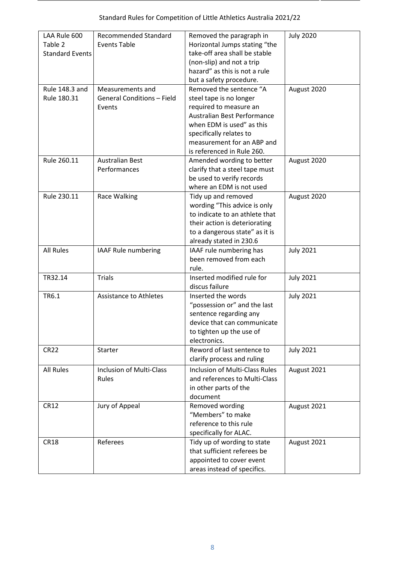| LAA Rule 600<br>Table 2<br><b>Standard Events</b> | <b>Recommended Standard</b><br><b>Events Table</b>              | Removed the paragraph in<br>Horizontal Jumps stating "the<br>take-off area shall be stable<br>(non-slip) and not a trip<br>hazard" as this is not a rule<br>but a safety procedure.                                             | <b>July 2020</b> |
|---------------------------------------------------|-----------------------------------------------------------------|---------------------------------------------------------------------------------------------------------------------------------------------------------------------------------------------------------------------------------|------------------|
| Rule 148.3 and<br>Rule 180.31                     | Measurements and<br><b>General Conditions - Field</b><br>Events | Removed the sentence "A<br>steel tape is no longer<br>required to measure an<br>Australian Best Performance<br>when EDM is used" as this<br>specifically relates to<br>measurement for an ABP and<br>is referenced in Rule 260. | August 2020      |
| Rule 260.11                                       | <b>Australian Best</b><br>Performances                          | Amended wording to better<br>clarify that a steel tape must<br>be used to verify records<br>where an EDM is not used                                                                                                            | August 2020      |
| Rule 230.11                                       | Race Walking                                                    | Tidy up and removed<br>wording "This advice is only<br>to indicate to an athlete that<br>their action is deteriorating<br>to a dangerous state" as it is<br>already stated in 230.6                                             | August 2020      |
| <b>All Rules</b>                                  | IAAF Rule numbering                                             | IAAF rule numbering has<br>been removed from each<br>rule.                                                                                                                                                                      | <b>July 2021</b> |
| TR32.14                                           | <b>Trials</b>                                                   | Inserted modified rule for<br>discus failure                                                                                                                                                                                    | <b>July 2021</b> |
| TR6.1                                             | <b>Assistance to Athletes</b>                                   | Inserted the words<br>"possession or" and the last<br>sentence regarding any<br>device that can communicate<br>to tighten up the use of<br>electronics.                                                                         | <b>July 2021</b> |
| <b>CR22</b>                                       | Starter                                                         | Reword of last sentence to<br>clarify process and ruling                                                                                                                                                                        | <b>July 2021</b> |
| <b>All Rules</b>                                  | Inclusion of Multi-Class<br>Rules                               | <b>Inclusion of Multi-Class Rules</b><br>and references to Multi-Class<br>in other parts of the<br>document                                                                                                                     | August 2021      |
| <b>CR12</b>                                       | Jury of Appeal                                                  | Removed wording<br>"Members" to make<br>reference to this rule<br>specifically for ALAC.                                                                                                                                        | August 2021      |
| <b>CR18</b>                                       | Referees                                                        | Tidy up of wording to state<br>that sufficient referees be<br>appointed to cover event<br>areas instead of specifics.                                                                                                           | August 2021      |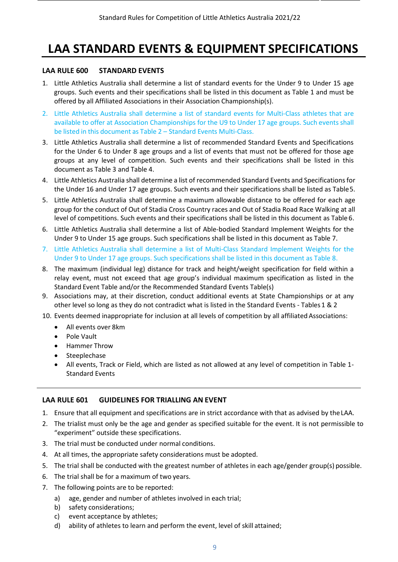# <span id="page-8-0"></span>**LAA STANDARD EVENTS & EQUIPMENT SPECIFICATIONS**

#### <span id="page-8-1"></span>**LAA RULE 600 STANDARD EVENTS**

- 1. Little Athletics Australia shall determine a list of standard events for the Under 9 to Under 15 age groups. Such events and their specifications shall be listed in this document as Table 1 and must be offered by all Affiliated Associations in their Association Championship(s).
- 2. Little Athletics Australia shall determine a list of standard events for Multi-Class athletes that are available to offer at Association Championships for the U9 to Under 17 age groups. Such events shall be listed in this document as Table 2 – Standard Events Multi-Class.
- 3. Little Athletics Australia shall determine a list of recommended Standard Events and Specifications for the Under 6 to Under 8 age groups and a list of events that must not be offered for those age groups at any level of competition. Such events and their specifications shall be listed in this document as Table 3 and Table 4.
- 4. Little Athletics Australia shall determine a list of recommended Standard Events and Specifications for the Under 16 and Under 17 age groups. Such events and their specifications shall be listed as Table5.
- 5. Little Athletics Australia shall determine a maximum allowable distance to be offered for each age group for the conduct of Out of Stadia Cross Country races and Out of Stadia Road Race Walking at all level of competitions. Such events and their specifications shall be listed in this document as Table 6.
- 6. Little Athletics Australia shall determine a list of Able-bodied Standard Implement Weights for the Under 9 to Under 15 age groups. Such specifications shall be listed in this document as Table 7.
- 7. Little Athletics Australia shall determine a list of Multi-Class Standard Implement Weights for the Under 9 to Under 17 age groups. Such specifications shall be listed in this document as Table 8.
- 8. The maximum (individual leg) distance for track and height/weight specification for field within a relay event, must not exceed that age group's individual maximum specification as listed in the Standard Event Table and/or the Recommended Standard Events Table(s)
- 9. Associations may, at their discretion, conduct additional events at State Championships or at any other level so long as they do not contradict what is listed in the Standard Events - Tables 1 & 2
- 10. Events deemed inappropriate for inclusion at all levels of competition by all affiliated Associations:
	- All events over 8km
	- Pole Vault
	- Hammer Throw
	- **Steeplechase**
	- All events, Track or Field, which are listed as not allowed at any level of competition in Table 1- Standard Events

#### <span id="page-8-2"></span>**LAA RULE 601 GUIDELINES FOR TRIALLING AN EVENT**

- 1. Ensure that all equipment and specifications are in strict accordance with that as advised by theLAA.
- 2. The trialist must only be the age and gender as specified suitable for the event. It is not permissible to "experiment" outside these specifications.
- 3. The trial must be conducted under normal conditions.
- 4. At all times, the appropriate safety considerations must be adopted.
- 5. The trial shall be conducted with the greatest number of athletes in each age/gender group(s) possible.
- 6. The trial shall be for a maximum of two years.
- 7. The following points are to be reported:
	- a) age, gender and number of athletes involved in each trial;
	- b) safety considerations;
	- c) event acceptance by athletes;
	- d) ability of athletes to learn and perform the event, level of skill attained;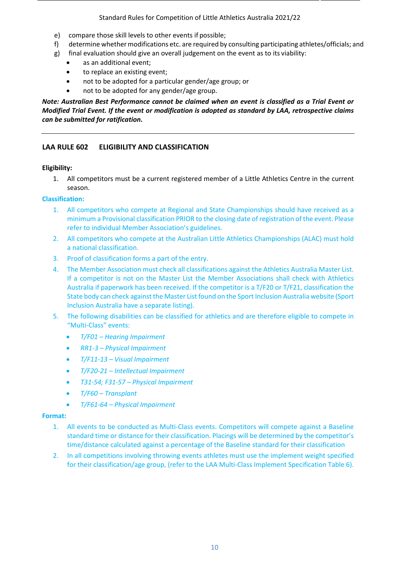- e) compare those skill levels to other events if possible;
- f) determine whether modifications etc. are required by consulting participating athletes/officials; and
- g) final evaluation should give an overall judgement on the event as to its viability:
	- as an additional event;
	- to replace an existing event;
	- not to be adopted for a particular gender/age group; or
	- not to be adopted for any gender/age group.

*Note: Australian Best Performance cannot be claimed when an event is classified as a Trial Event or Modified Trial Event. If the event or modification is adopted as standard by LAA, retrospective claims can be submitted for ratification.*

#### <span id="page-9-0"></span>**LAA RULE 602 ELIGIBILITY AND CLASSIFICATION**

#### **Eligibility:**

1. All competitors must be a current registered member of a Little Athletics Centre in the current season.

#### **Classification:**

- 1. All competitors who compete at Regional and State Championships should have received as a minimum a Provisional classification PRIOR to the closing date of registration of the event. Please refer to individual Member Association's guidelines.
- 2. All competitors who compete at the Australian Little Athletics Championships (ALAC) must hold a national classification.
- 3. Proof of classification forms a part of the entry.
- 4. The Member Association must check all classifications against the Athletics Australia Master List. If a competitor is not on the Master List the Member Associations shall check with Athletics Australia if paperwork has been received. If the competitor is a T/F20 or T/F21, classification the State body can check against the Master List found on the Sport Inclusion Australia website (Sport Inclusion Australia have a separate listing).
- 5. The following disabilities can be classified for athletics and are therefore eligible to compete in "Multi-Class" events:
	- *T/F01 – Hearing Impairment*
	- *RR1-3 – Physical Impairment*
	- *T/F11-13 – Visual Impairment*
	- *T/F20-21 – Intellectual Impairment*
	- *T31-54; F31-57 – Physical Impairment*
	- *T/F60 – Transplant*
	- *T/F61-64 – Physical Impairment*

#### **Format:**

- 1. All events to be conducted as Multi-Class events. Competitors will compete against a Baseline standard time or distance for their classification. Placings will be determined by the competitor's time/distance calculated against a percentage of the Baseline standard for their classification
- 2. In all competitions involving throwing events athletes must use the implement weight specified for their classification/age group, (refer to the LAA Multi-Class Implement Specification Table 6).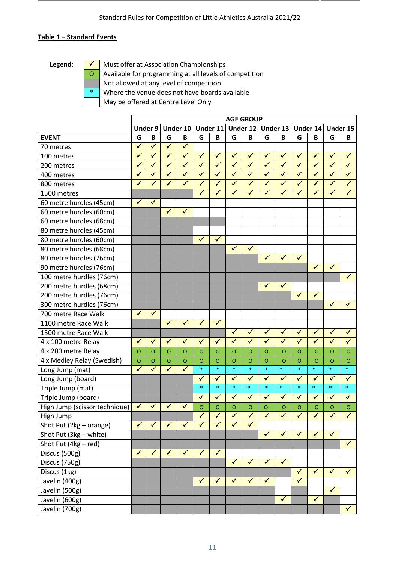#### **Table 1 – Standard Events**

Legend:  $\boxed{\checkmark}$  Must offer at Association Championships

- O Available for programming at all levels of competition
	- Not allowed at any level of competition
- \* Where the venue does not have boards available

May be offered at Centre Level Only

|                               |                         |                         |                      |                      |                         |                         | <b>AGE GROUP</b>        |                         |                         |                      |                         |              |              |              |
|-------------------------------|-------------------------|-------------------------|----------------------|----------------------|-------------------------|-------------------------|-------------------------|-------------------------|-------------------------|----------------------|-------------------------|--------------|--------------|--------------|
|                               |                         | <b>Under 9</b>          |                      | Under 10             |                         | Under 11                |                         | Under 12                |                         | Under 13             |                         | Under 14     |              | Under 15     |
| <b>EVENT</b>                  | G                       | B                       | G                    | B                    | G                       | B                       | G                       | B                       | G                       | B                    | G                       | B            | G            | B            |
| 70 metres                     | $\checkmark$            | ✓                       | $\checkmark$         | ✓                    |                         |                         |                         |                         |                         |                      |                         |              |              |              |
| 100 metres                    | $\overline{\checkmark}$ | $\overline{\checkmark}$ | $\blacktriangledown$ | $\blacktriangledown$ | $\overline{\checkmark}$ | $\overline{\checkmark}$ | $\blacktriangledown$    | $\blacktriangledown$    | $\checkmark$            | $\checkmark$         | $\checkmark$            | $\checkmark$ | $\checkmark$ | $\checkmark$ |
| 200 metres                    | $\checkmark$            | ✓                       | $\checkmark$         | $\checkmark$         | $\checkmark$            | $\checkmark$            | $\checkmark$            | $\checkmark$            | $\checkmark$            | $\checkmark$         | $\checkmark$            | $\checkmark$ | $\checkmark$ | $\checkmark$ |
| 400 metres                    | $\checkmark$            | $\checkmark$            | $\checkmark$         | $\checkmark$         | $\checkmark$            | $\checkmark$            | $\checkmark$            | $\checkmark$            | $\checkmark$            | $\checkmark$         | $\checkmark$            | $\checkmark$ | $\checkmark$ | $\checkmark$ |
| 800 metres                    | $\checkmark$            | $\checkmark$            | $\checkmark$         | $\checkmark$         | $\checkmark$            | $\checkmark$            | $\checkmark$            | $\checkmark$            | $\checkmark$            | $\checkmark$         | $\checkmark$            | $\checkmark$ | $\checkmark$ | $\checkmark$ |
| 1500 metres                   |                         |                         |                      |                      | $\overline{\checkmark}$ | $\overline{\checkmark}$ | $\checkmark$            | $\checkmark$            | $\checkmark$            | $\checkmark$         | $\checkmark$            | $\checkmark$ | $\checkmark$ | $\checkmark$ |
| 60 metre hurdles (45cm)       | $\checkmark$            | $\checkmark$            |                      |                      |                         |                         |                         |                         |                         |                      |                         |              |              |              |
| 60 metre hurdles (60cm)       |                         |                         | $\checkmark$         | $\checkmark$         |                         |                         |                         |                         |                         |                      |                         |              |              |              |
| 60 metre hurdles (68cm)       |                         |                         |                      |                      |                         |                         |                         |                         |                         |                      |                         |              |              |              |
| 80 metre hurdles (45cm)       |                         |                         |                      |                      |                         |                         |                         |                         |                         |                      |                         |              |              |              |
| 80 metre hurdles (60cm)       |                         |                         |                      |                      | $\checkmark$            | $\checkmark$            |                         |                         |                         |                      |                         |              |              |              |
| 80 metre hurdles (68cm)       |                         |                         |                      |                      |                         |                         | $\checkmark$            | $\checkmark$            |                         |                      |                         |              |              |              |
| 80 metre hurdles (76cm)       |                         |                         |                      |                      |                         |                         |                         |                         | $\checkmark$            | $\checkmark$         | ✓                       |              |              |              |
| 90 metre hurdles (76cm)       |                         |                         |                      |                      |                         |                         |                         |                         |                         |                      |                         | $\checkmark$ | $\checkmark$ |              |
| 100 metre hurdles (76cm)      |                         |                         |                      |                      |                         |                         |                         |                         |                         |                      |                         |              |              | $\checkmark$ |
| 200 metre hurdles (68cm)      |                         |                         |                      |                      |                         |                         |                         |                         | $\checkmark$            | $\checkmark$         |                         |              |              |              |
| 200 metre hurdles (76cm)      |                         |                         |                      |                      |                         |                         |                         |                         |                         |                      | $\checkmark$            | $\checkmark$ |              |              |
| 300 metre hurdles (76cm)      |                         |                         |                      |                      |                         |                         |                         |                         |                         |                      |                         |              | $\checkmark$ | $\checkmark$ |
| 700 metre Race Walk           | $\checkmark$            | $\checkmark$            |                      |                      |                         |                         |                         |                         |                         |                      |                         |              |              |              |
| 1100 metre Race Walk          |                         |                         | $\checkmark$         | $\checkmark$         | $\checkmark$            | $\checkmark$            |                         |                         |                         |                      |                         |              |              |              |
| 1500 metre Race Walk          |                         |                         |                      |                      |                         |                         | $\overline{\checkmark}$ | $\overline{\checkmark}$ | $\checkmark$            | $\blacktriangledown$ | $\blacktriangledown$    | $\checkmark$ | $\checkmark$ | $\checkmark$ |
| 4 x 100 metre Relay           | $\checkmark$            | $\checkmark$            | $\checkmark$         | $\checkmark$         | $\checkmark$            | $\checkmark$            | $\checkmark$            | $\checkmark$            | $\checkmark$            | $\checkmark$         | $\checkmark$            | $\checkmark$ | $\checkmark$ | $\checkmark$ |
| 4 x 200 metre Relay           | O                       | O                       | $\circ$              | $\circ$              | $\circ$                 | $\circ$                 | $\circ$                 | $\circ$                 | $\circ$                 | $\circ$              | $\Omega$                | $\Omega$     | $\circ$      | $\circ$      |
| 4 x Medley Relay (Swedish)    | $\overline{O}$          | $\circ$                 | $\mathsf O$          | $\overline{O}$       | $\circ$                 | $\circ$                 | $\circ$                 | $\overline{O}$          | $\overline{O}$          | $\overline{O}$       | O                       | $\circ$      | $\circ$      | $\circ$      |
| Long Jump (mat)               | $\checkmark$            | ✓                       | $\checkmark$         | $\checkmark$         | $\ast$                  | $\ast$                  | $\ast$                  | $\ast$                  | $\ast$                  | $\ast$               | $\ast$                  | $\ast$       | $\ast$       | $\ast$       |
| Long Jump (board)             |                         |                         |                      |                      | $\checkmark$            | $\checkmark$            | $\checkmark$            | $\checkmark$            | $\overline{\mathbf{v}}$ | $\checkmark$         | $\overline{\sqrt{2}}$   | $\checkmark$ | $\checkmark$ | $\checkmark$ |
| Triple Jump (mat)             |                         |                         |                      |                      | $\ast$                  | $\ast$                  | $\ast$                  | $\ast$                  | $\ast$                  | $\ast$               | $\ast$                  | $\ast$       | $\ast$       | $\ast$       |
| Triple Jump (board)           |                         |                         |                      |                      | $\checkmark$            | $\checkmark$            | $\checkmark$            | $\checkmark$            | $\sqrt{}$               | $\checkmark$         | ✓                       | $\checkmark$ | $\checkmark$ | $\checkmark$ |
| High Jump (scissor technique) | ✓                       | $\checkmark$            | ✓                    | ✓                    | $\mathsf O$             | $\circ$                 | $\mathsf O$             | $\mathbf O$             | $\circ$                 | $\mathsf O$          | $\mathsf O$             | $\circ$      | $\mathsf O$  | $\mathsf O$  |
| High Jump                     |                         |                         |                      |                      | $\checkmark$            | $\checkmark$            | $\checkmark$            | $\checkmark$            | $\blacktriangledown$    | $\checkmark$         | $\checkmark$            | $\checkmark$ | $\checkmark$ | $\checkmark$ |
| Shot Put (2kg - orange)       | $\checkmark$            | $\checkmark$            | $\checkmark$         | $\checkmark$         | $\checkmark$            | $\checkmark$            | $\checkmark$            | $\checkmark$            |                         |                      |                         |              |              |              |
| Shot Put (3kg - white)        |                         |                         |                      |                      |                         |                         |                         |                         | $\checkmark$            | $\checkmark$         | $\checkmark$            | $\checkmark$ | $\checkmark$ |              |
| Shot Put (4kg - red)          |                         |                         |                      |                      |                         |                         |                         |                         |                         |                      |                         |              |              | $\checkmark$ |
| Discus (500g)                 | $\checkmark$            | $\sqrt{}$               | $\checkmark$         | $\checkmark$         | $\checkmark$            | $\checkmark$            |                         |                         |                         |                      |                         |              |              |              |
| Discus (750g)                 |                         |                         |                      |                      |                         |                         | $\checkmark$            | $\checkmark$            | $\checkmark$            | $\checkmark$         |                         |              |              |              |
| Discus (1kg)                  |                         |                         |                      |                      |                         |                         |                         |                         |                         |                      | $\checkmark$            | $\checkmark$ | $\checkmark$ | $\checkmark$ |
| Javelin (400g)                |                         |                         |                      |                      | $\overline{\checkmark}$ | $\checkmark$            | $\checkmark$            | $\checkmark$            | $\checkmark$            |                      | $\overline{\checkmark}$ |              |              |              |
| Javelin (500g)                |                         |                         |                      |                      |                         |                         |                         |                         |                         |                      |                         |              | $\checkmark$ |              |
| Javelin (600g)                |                         |                         |                      |                      |                         |                         |                         |                         |                         | $\checkmark$         |                         | $\checkmark$ |              |              |
| Javelin (700g)                |                         |                         |                      |                      |                         |                         |                         |                         |                         |                      |                         |              |              | $\checkmark$ |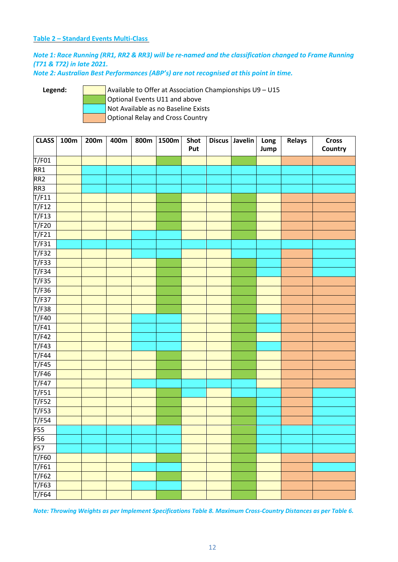#### **Table 2 – Standard Events Multi-Class**

#### *Note 1: Race Running (RR1, RR2 & RR3) will be re-named and the classification changed to Frame Running (T71 & T72) in late 2021.*

*Note 2: Australian Best Performances (ABP's) are not recognised at this point in time.*

Legend: **Available to Offer at Association Championships U9 – U15** Optional Events U11 and above Not Available as no Baseline Exists Optional Relay and Cross Country

| <b>CLASS</b>        | 100m | 200m | 400m | 800m | 1500m | Shot<br>Put | <b>Discus</b> | Javelin | Long<br>Jump | <b>Relays</b> | <b>Cross</b><br>Country |
|---------------------|------|------|------|------|-------|-------------|---------------|---------|--------------|---------------|-------------------------|
| T/F01               |      |      |      |      |       |             |               |         |              |               |                         |
| RR1                 |      |      |      |      |       |             |               |         |              |               |                         |
| RR <sub>2</sub>     |      |      |      |      |       |             |               |         |              |               |                         |
| RR3                 |      |      |      |      |       |             |               |         |              |               |                         |
| T/F11               |      |      |      |      |       |             |               |         |              |               |                         |
| T/F12               |      |      |      |      |       |             |               |         |              |               |                         |
| T/F13               |      |      |      |      |       |             |               |         |              |               |                         |
| T/F20               |      |      |      |      |       |             |               |         |              |               |                         |
| T/F21               |      |      |      |      |       |             |               |         |              |               |                         |
| T/F31               |      |      |      |      |       |             |               |         |              |               |                         |
| T/F32               |      |      |      |      |       |             |               |         |              |               |                         |
| T/F33               |      |      |      |      |       |             |               |         |              |               |                         |
| T/F34               |      |      |      |      |       |             |               |         |              |               |                         |
| T/F35               |      |      |      |      |       |             |               |         |              |               |                         |
| T/F36               |      |      |      |      |       |             |               |         |              |               |                         |
| T/F37               |      |      |      |      |       |             |               |         |              |               |                         |
| T/F38               |      |      |      |      |       |             |               |         |              |               |                         |
| T/F40               |      |      |      |      |       |             |               |         |              |               |                         |
| T/F41               |      |      |      |      |       |             |               |         |              |               |                         |
| T/F42               |      |      |      |      |       |             |               |         |              |               |                         |
| T/F43               |      |      |      |      |       |             |               |         |              |               |                         |
| T/F44               |      |      |      |      |       |             |               |         |              |               |                         |
| T/F45               |      |      |      |      |       |             |               |         |              |               |                         |
| T/F46               |      |      |      |      |       |             |               |         |              |               |                         |
| T/F47               |      |      |      |      |       |             |               |         |              |               |                         |
| $\overline{T/F51}$  |      |      |      |      |       |             |               |         |              |               |                         |
| T/F52               |      |      |      |      |       |             |               |         |              |               |                         |
| $\overline{T/F53}$  |      |      |      |      |       |             |               |         |              |               |                         |
| T/F54               |      |      |      |      |       |             |               |         |              |               |                         |
| <b>F55</b>          |      |      |      |      |       |             |               |         |              |               |                         |
| F56                 |      |      |      |      |       |             |               |         |              |               |                         |
| F57                 |      |      |      |      |       |             |               |         |              |               |                         |
| T/F60               |      |      |      |      |       |             |               |         |              |               |                         |
| T/F61               |      |      |      |      |       |             |               |         |              |               |                         |
| T/F62               |      |      |      |      |       |             |               |         |              |               |                         |
| $\overline{T}$ /F63 |      |      |      |      |       |             |               |         |              |               |                         |
| T/F64               |      |      |      |      |       |             |               |         |              |               |                         |

*Note: Throwing Weights as per Implement Specifications Table 8. Maximum Cross-Country Distances as per Table 6.*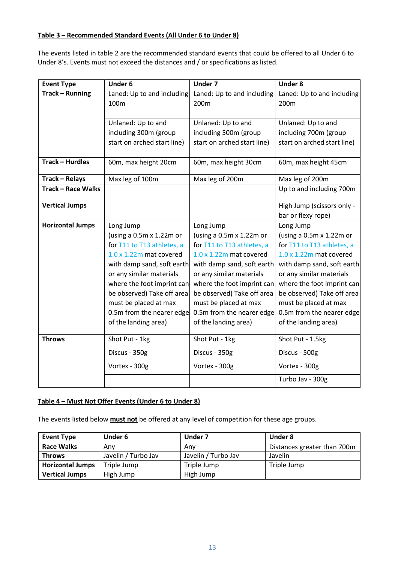#### **Table 3 – Recommended Standard Events (All Under 6 to Under 8)**

The events listed in table 2 are the recommended standard events that could be offered to all Under 6 to Under 8's. Events must not exceed the distances and / or specifications as listed.

| <b>Event Type</b>         | <b>Under 6</b>                  | <b>Under 7</b>                  | <b>Under 8</b>                  |
|---------------------------|---------------------------------|---------------------------------|---------------------------------|
| <b>Track - Running</b>    | Laned: Up to and including      | Laned: Up to and including      | Laned: Up to and including      |
|                           | 100m                            | 200m                            | 200m                            |
|                           |                                 |                                 |                                 |
|                           | Unlaned: Up to and              | Unlaned: Up to and              | Unlaned: Up to and              |
|                           | including 300m (group           | including 500m (group           | including 700m (group           |
|                           | start on arched start line)     | start on arched start line)     | start on arched start line)     |
|                           |                                 |                                 |                                 |
| Track - Hurdles           | 60m, max height 20cm            | 60m, max height 30cm            | 60m, max height 45cm            |
| <b>Track - Relays</b>     | Max leg of 100m                 | Max leg of 200m                 | Max leg of 200m                 |
| <b>Track - Race Walks</b> |                                 |                                 | Up to and including 700m        |
| <b>Vertical Jumps</b>     |                                 |                                 | High Jump (scissors only -      |
|                           |                                 |                                 | bar or flexy rope)              |
| <b>Horizontal Jumps</b>   | Long Jump                       | Long Jump                       | Long Jump                       |
|                           | (using a 0.5m x 1.22m or        | (using a $0.5m \times 1.22m$ or | (using a $0.5m \times 1.22m$ or |
|                           | for T11 to T13 athletes, a      | for T11 to T13 athletes, a      | for T11 to T13 athletes, a      |
|                           | $1.0 \times 1.22$ m mat covered | 1.0 x 1.22m mat covered         | $1.0 \times 1.22$ m mat covered |
|                           | with damp sand, soft earth      | with damp sand, soft earth      | with damp sand, soft earth      |
|                           | or any similar materials        | or any similar materials        | or any similar materials        |
|                           | where the foot imprint can      | where the foot imprint can      | where the foot imprint can      |
|                           | be observed) Take off area      | be observed) Take off area      | be observed) Take off area      |
|                           | must be placed at max           | must be placed at max           | must be placed at max           |
|                           | 0.5m from the nearer edge       | 0.5m from the nearer edge       | 0.5m from the nearer edge       |
|                           | of the landing area)            | of the landing area)            | of the landing area)            |
| <b>Throws</b>             | Shot Put - 1kg                  | Shot Put - 1kg                  | Shot Put - 1.5kg                |
|                           | Discus - 350g                   | Discus - 350g                   | Discus - 500g                   |
|                           | Vortex - 300g                   | Vortex - 300g                   | Vortex - 300g                   |
|                           |                                 |                                 | Turbo Jav - 300g                |

#### **Table 4 – Must Not Offer Events (Under 6 to Under 8)**

The events listed below **must not** be offered at any level of competition for these age groups.

| <b>Event Type</b>       | <b>Under 6</b>      | Under 7             | Under 8                     |
|-------------------------|---------------------|---------------------|-----------------------------|
| <b>Race Walks</b>       | Anv                 | Anv                 | Distances greater than 700m |
| <b>Throws</b>           | Javelin / Turbo Jav | Javelin / Turbo Jav | Javelin                     |
| <b>Horizontal Jumps</b> | Triple Jump         | Triple Jump         | Triple Jump                 |
| <b>Vertical Jumps</b>   | High Jump           | High Jump           |                             |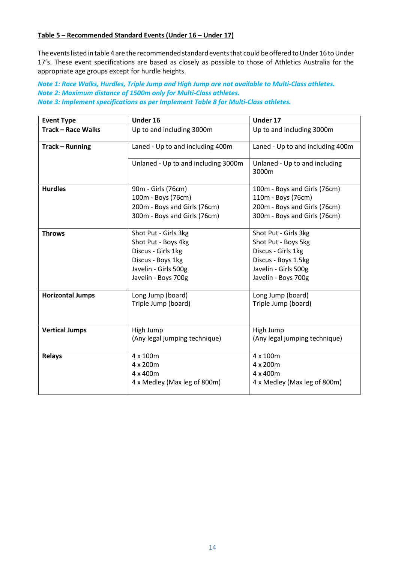#### **Table 5 – Recommended Standard Events (Under 16 – Under 17)**

The events listed in table 4 are the recommended standard events that could be offered to Under 16 to Under 17's. These event specifications are based as closely as possible to those of Athletics Australia for the appropriate age groups except for hurdle heights.

#### *Note 1: Race Walks, Hurdles, Triple Jump and High Jump are not available to Multi-Class athletes. Note 2: Maximum distance of 1500m only for Multi-Class athletes. Note 3: Implement specifications as per Implement Table 8 for Multi-Class athletes.*

| <b>Event Type</b>         | Under 16                                                                                                                              | Under 17                                                                                                                                |  |  |  |  |
|---------------------------|---------------------------------------------------------------------------------------------------------------------------------------|-----------------------------------------------------------------------------------------------------------------------------------------|--|--|--|--|
| <b>Track - Race Walks</b> | Up to and including 3000m                                                                                                             | Up to and including 3000m                                                                                                               |  |  |  |  |
| <b>Track - Running</b>    | Laned - Up to and including 400m                                                                                                      | Laned - Up to and including 400m                                                                                                        |  |  |  |  |
|                           | Unlaned - Up to and including 3000m                                                                                                   | Unlaned - Up to and including<br>3000m                                                                                                  |  |  |  |  |
| <b>Hurdles</b>            | 90m - Girls (76cm)<br>100m - Boys (76cm)<br>200m - Boys and Girls (76cm)<br>300m - Boys and Girls (76cm)                              | 100m - Boys and Girls (76cm)<br>110m - Boys (76cm)<br>200m - Boys and Girls (76cm)<br>300m - Boys and Girls (76cm)                      |  |  |  |  |
| <b>Throws</b>             | Shot Put - Girls 3kg<br>Shot Put - Boys 4kg<br>Discus - Girls 1kg<br>Discus - Boys 1kg<br>Javelin - Girls 500g<br>Javelin - Boys 700g | Shot Put - Girls 3kg<br>Shot Put - Boys 5kg<br>Discus - Girls 1kg<br>Discus - Boys 1.5kg<br>Javelin - Girls 500g<br>Javelin - Boys 700g |  |  |  |  |
| <b>Horizontal Jumps</b>   | Long Jump (board)<br>Triple Jump (board)                                                                                              | Long Jump (board)<br>Triple Jump (board)                                                                                                |  |  |  |  |
| <b>Vertical Jumps</b>     | High Jump<br>(Any legal jumping technique)                                                                                            | High Jump<br>(Any legal jumping technique)                                                                                              |  |  |  |  |
| <b>Relays</b>             | 4 x 100m<br>4 x 200m<br>4 x 400m<br>4 x Medley (Max leg of 800m)                                                                      | 4 x 100m<br>4 x 200m<br>4 x 400m<br>4 x Medley (Max leg of 800m)                                                                        |  |  |  |  |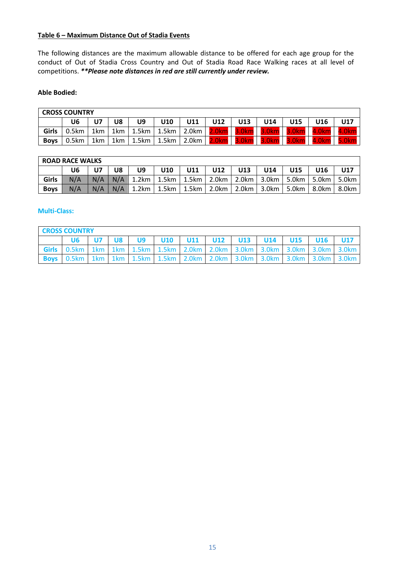#### **Table 6 – Maximum Distance Out of Stadia Events**

The following distances are the maximum allowable distance to be offered for each age group for the conduct of Out of Stadia Cross Country and Out of Stadia Road Race Walking races at all level of competitions. *\*\*Please note distances in red are still currently under review.*

#### **Able Bodied:**

| <b>CROSS COUNTRY</b> |       |     |     |       |       |                   |       |                   |       |       |            |     |
|----------------------|-------|-----|-----|-------|-------|-------------------|-------|-------------------|-------|-------|------------|-----|
|                      | U6    | υ7  | U8  | U9    | U10   | U11               | U12   | U13               | U14   | U15   | <b>J16</b> | U17 |
| Girls                | 0.5km | 1km | 1km | 1.5km | 1.5km | $2.0$ km          | 2.0km | 3.0 <sub>km</sub> | 3.0km | 3.0km | 4.0km      |     |
| <b>Boys</b>          | 0.5km | 1km | 1km | 1.5km | 1.5km | 2.0 <sub>km</sub> | 2.0km | 3.0km             | 3.0km |       |            |     |

### **ROAD RACE WALKS**

|             |     | U7  | U8 | U9                                                                          | <b>U10</b> | U11 | U12   U13 |  |  | U14   U15 | U16 | U17 |  |  |
|-------------|-----|-----|----|-----------------------------------------------------------------------------|------------|-----|-----------|--|--|-----------|-----|-----|--|--|
| Girls       | N/A | N/A |    | N/A   1.2km   1.5km   1.5km   2.0km   2.0km   3.0km   5.0km   5.0km   5.0km |            |     |           |  |  |           |     |     |  |  |
| <b>Boys</b> | N/A | N/A |    | N/A   1.2km   1.5km   1.5km   2.0km   2.0km   3.0km   5.0km   8.0km   8.0km |            |     |           |  |  |           |     |     |  |  |

⅂

#### **Multi-Class:**

| <b>CROSS COUNTRY</b>                                                                  |  |    |    |  |  |                                               |  |  |  |  |                                                                                                   |  |
|---------------------------------------------------------------------------------------|--|----|----|--|--|-----------------------------------------------|--|--|--|--|---------------------------------------------------------------------------------------------------|--|
|                                                                                       |  | U8 | U9 |  |  | U10   U11   U12   U13   U14   U15   U16   U17 |  |  |  |  |                                                                                                   |  |
|                                                                                       |  |    |    |  |  |                                               |  |  |  |  | Girls   0.5km   1km   1km   1.5km   1.5km   2.0km   2.0km   3.0km   3.0km   3.0km   3.0km   3.0km |  |
| <b>Boys</b> 0.5km 1km 1km 1.5km 1.5km 2.0km 2.0km 3.0km 3.0km 3.0km 3.0km 3.0km 3.0km |  |    |    |  |  |                                               |  |  |  |  |                                                                                                   |  |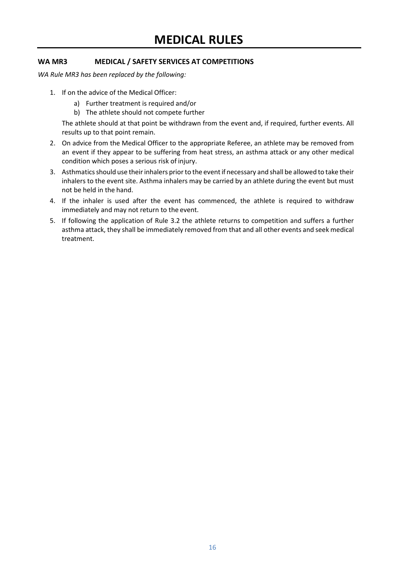#### <span id="page-15-1"></span><span id="page-15-0"></span>**WA MR3 MEDICAL / SAFETY SERVICES AT COMPETITIONS**

*WA Rule MR3 has been replaced by the following:*

- 1. If on the advice of the Medical Officer:
	- a) Further treatment is required and/or
	- b) The athlete should not compete further

The athlete should at that point be withdrawn from the event and, if required, further events. All results up to that point remain.

- 2. On advice from the Medical Officer to the appropriate Referee, an athlete may be removed from an event if they appear to be suffering from heat stress, an asthma attack or any other medical condition which poses a serious risk of injury.
- 3. Asthmatics should use their inhalers prior to the event if necessary and shall be allowed to take their inhalers to the event site. Asthma inhalers may be carried by an athlete during the event but must not be held in the hand.
- 4. If the inhaler is used after the event has commenced, the athlete is required to withdraw immediately and may not return to the event.
- 5. If following the application of Rule 3.2 the athlete returns to competition and suffers a further asthma attack, they shall be immediately removed from that and all other events and seek medical treatment.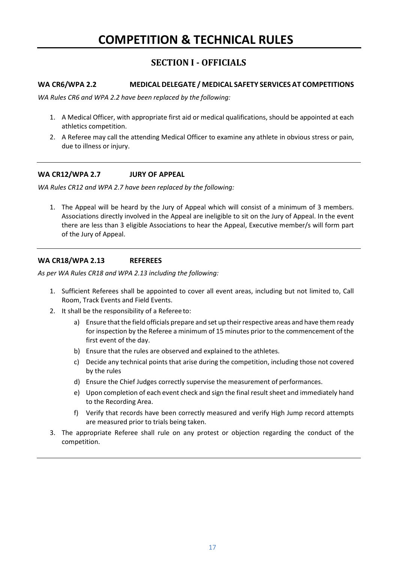## **SECTION I - OFFICIALS**

#### <span id="page-16-2"></span><span id="page-16-1"></span><span id="page-16-0"></span>**WA CR6/WPA 2.2 MEDICAL DELEGATE / MEDICAL SAFETY SERVICES AT COMPETITIONS**

*WA Rules CR6 and WPA 2.2 have been replaced by the following:*

- 1. A Medical Officer, with appropriate first aid or medical qualifications, should be appointed at each athletics competition.
- 2. A Referee may call the attending Medical Officer to examine any athlete in obvious stress or pain, due to illness or injury.

#### <span id="page-16-3"></span>**WA CR12/WPA 2.7 JURY OF APPEAL**

*WA Rules CR12 and WPA 2.7 have been replaced by the following:*

1. The Appeal will be heard by the Jury of Appeal which will consist of a minimum of 3 members. Associations directly involved in the Appeal are ineligible to sit on the Jury of Appeal. In the event there are less than 3 eligible Associations to hear the Appeal, Executive member/s will form part of the Jury of Appeal.

#### <span id="page-16-4"></span>**WA CR18/WPA 2.13 REFEREES**

*As per WA Rules CR18 and WPA 2.13 including the following:*

- 1. Sufficient Referees shall be appointed to cover all event areas, including but not limited to, Call Room, Track Events and Field Events.
- 2. It shall be the responsibility of a Referee to:
	- a) Ensure that the field officials prepare and set up their respective areas and have them ready for inspection by the Referee a minimum of 15 minutes prior to the commencement of the first event of the day.
	- b) Ensure that the rules are observed and explained to the athletes.
	- c) Decide any technical points that arise during the competition, including those not covered by the rules
	- d) Ensure the Chief Judges correctly supervise the measurement of performances.
	- e) Upon completion of each event check and sign the final result sheet and immediately hand to the Recording Area.
	- f) Verify that records have been correctly measured and verify High Jump record attempts are measured prior to trials being taken.
- 3. The appropriate Referee shall rule on any protest or objection regarding the conduct of the competition.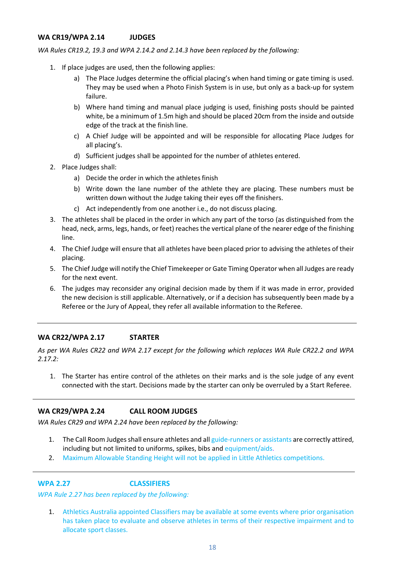#### <span id="page-17-0"></span>**WA CR19/WPA 2.14 JUDGES**

*WA Rules CR19.2, 19.3 and WPA 2.14.2 and 2.14.3 have been replaced by the following:*

- 1. If place judges are used, then the following applies:
	- a) The Place Judges determine the official placing's when hand timing or gate timing is used. They may be used when a Photo Finish System is in use, but only as a back-up for system failure.
	- b) Where hand timing and manual place judging is used, finishing posts should be painted white, be a minimum of 1.5m high and should be placed 20cm from the inside and outside edge of the track at the finish line.
	- c) A Chief Judge will be appointed and will be responsible for allocating Place Judges for all placing's.
	- d) Sufficient judges shall be appointed for the number of athletes entered.
- 2. Place Judges shall:
	- a) Decide the order in which the athletes finish
	- b) Write down the lane number of the athlete they are placing. These numbers must be written down without the Judge taking their eyes off the finishers.
	- c) Act independently from one another i.e., do not discuss placing.
- 3. The athletes shall be placed in the order in which any part of the torso (as distinguished from the head, neck, arms, legs, hands, or feet) reaches the vertical plane of the nearer edge of the finishing line.
- 4. The Chief Judge will ensure that all athletes have been placed prior to advising the athletes of their placing.
- 5. The Chief Judge will notify the Chief Timekeeper or Gate Timing Operator when all Judges are ready for the next event.
- 6. The judges may reconsider any original decision made by them if it was made in error, provided the new decision is still applicable. Alternatively, or if a decision has subsequently been made by a Referee or the Jury of Appeal, they refer all available information to the Referee.

#### <span id="page-17-1"></span>**WA CR22/WPA 2.17 STARTER**

*As per WA Rules CR22 and WPA 2.17 except for the following which replaces WA Rule CR22.2 and WPA 2.17.2:*

1. The Starter has entire control of the athletes on their marks and is the sole judge of any event connected with the start. Decisions made by the starter can only be overruled by a Start Referee.

#### <span id="page-17-2"></span>**WA CR29/WPA 2.24 CALL ROOM JUDGES**

*WA Rules CR29 and WPA 2.24 have been replaced by the following:* 

- 1. The Call Room Judges shall ensure athletes and all guide-runners or assistants are correctly attired, including but not limited to uniforms, spikes, bibs and equipment/aids.
- 2. Maximum Allowable Standing Height will not be applied in Little Athletics competitions.

<span id="page-17-3"></span>**WPA 2.27 CLASSIFIERS**

*WPA Rule 2.27 has been replaced by the following:*

1. Athletics Australia appointed Classifiers may be available at some events where prior organisation has taken place to evaluate and observe athletes in terms of their respective impairment and to allocate sport classes.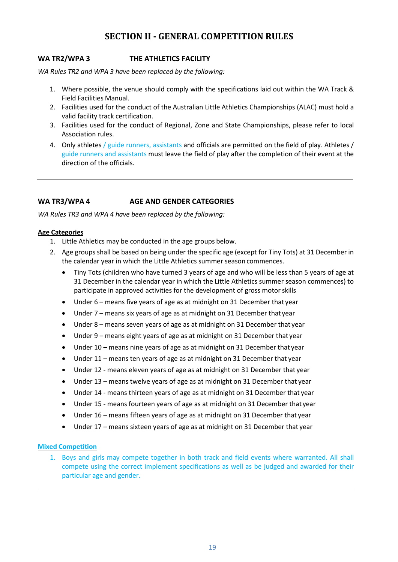## **SECTION II - GENERAL COMPETITION RULES**

#### <span id="page-18-1"></span><span id="page-18-0"></span>**WA TR2/WPA 3 THE ATHLETICS FACILITY**

*WA Rules TR2 and WPA 3 have been replaced by the following:*

- 1. Where possible, the venue should comply with the specifications laid out within the WA Track & Field Facilities Manual.
- 2. Facilities used for the conduct of the Australian Little Athletics Championships (ALAC) must hold a valid facility track certification.
- 3. Facilities used for the conduct of Regional, Zone and State Championships, please refer to local Association rules.
- 4. Only athletes / guide runners, assistants and officials are permitted on the field of play. Athletes / guide runners and assistants must leave the field of play after the completion of their event at the direction of the officials.

#### <span id="page-18-2"></span>**WA TR3/WPA 4 AGE AND GENDER CATEGORIES**

*WA Rules TR3 and WPA 4 have been replaced by the following:*

#### **Age Categories**

- 1. Little Athletics may be conducted in the age groups below.
- 2. Age groups shall be based on being under the specific age (except for Tiny Tots) at 31 December in the calendar year in which the Little Athletics summer season commences.
	- Tiny Tots (children who have turned 3 years of age and who will be less than 5 years of age at 31 December in the calendar year in which the Little Athletics summer season commences) to participate in approved activities for the development of gross motorskills
	- Under 6 means five years of age as at midnight on 31 December that year
	- Under 7 means six years of age as at midnight on 31 December that year
	- Under 8 means seven years of age as at midnight on 31 December that year
	- Under 9 means eight years of age as at midnight on 31 December that year
	- Under 10 means nine years of age as at midnight on 31 December that year
	- Under 11 means ten years of age as at midnight on 31 December that year
	- Under 12 means eleven years of age as at midnight on 31 December that year
	- Under 13 means twelve years of age as at midnight on 31 December that year
	- Under 14 means thirteen years of age as at midnight on 31 December that year
	- Under 15 means fourteen years of age as at midnight on 31 December that year
	- Under 16 means fifteen years of age as at midnight on 31 December that year
	- Under 17 means sixteen years of age as at midnight on 31 December that year

#### **Mixed Competition**

1. Boys and girls may compete together in both track and field events where warranted. All shall compete using the correct implement specifications as well as be judged and awarded for their particular age and gender.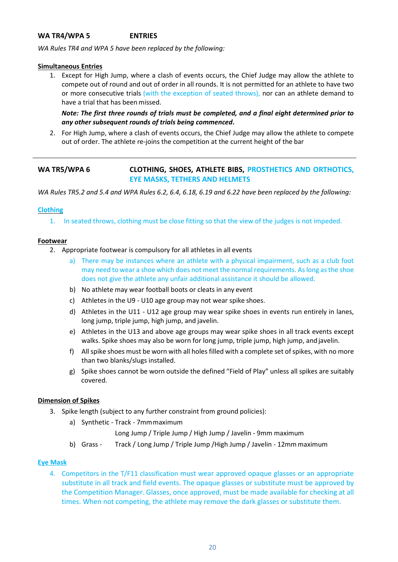#### <span id="page-19-0"></span>**WA TR4/WPA 5 ENTRIES**

*WA Rules TR4 and WPA 5 have been replaced by the following:*

#### **Simultaneous Entries**

1. Except for High Jump, where a clash of events occurs, the Chief Judge may allow the athlete to compete out of round and out of order in all rounds. It is not permitted for an athlete to have two or more consecutive trials (with the exception of seated throws), nor can an athlete demand to have a trial that has been missed.

*Note: The first three rounds of trials must be completed, and a final eight determined prior to any other subsequent rounds of trials being commenced***.**

2. For High Jump, where a clash of events occurs, the Chief Judge may allow the athlete to compete out of order. The athlete re-joins the competition at the current height of the bar

#### <span id="page-19-1"></span>**WA TR5/WPA 6 CLOTHING, SHOES, ATHLETE BIBS, PROSTHETICS AND ORTHOTICS, EYE MASKS, TETHERS AND HELMETS**

*WA Rules TR5.2 and 5.4 and WPA Rules 6.2, 6.4, 6.18, 6.19 and 6.22 have been replaced by the following:*

#### **Clothing**

1. In seated throws, clothing must be close fitting so that the view of the judges is not impeded.

#### **Footwear**

- 2. Appropriate footwear is compulsory for all athletes in all events
	- a) There may be instances where an athlete with a physical impairment, such as a club foot may need to wear a shoe which does not meet the normal requirements. As long as the shoe does not give the athlete any unfair additional assistance it should be allowed.
	- b) No athlete may wear football boots or cleats in any event
	- c) Athletes in the U9 U10 age group may not wear spike shoes.
	- d) Athletes in the U11 U12 age group may wear spike shoes in events run entirely in lanes, long jump, triple jump, high jump, and javelin.
	- e) Athletes in the U13 and above age groups may wear spike shoes in all track events except walks. Spike shoes may also be worn for long jump, triple jump, high jump, and javelin.
	- f) All spike shoes must be worn with all holes filled with a complete set of spikes, with no more than two blanks/slugs installed.
	- g) Spike shoes cannot be worn outside the defined "Field of Play" unless all spikes are suitably covered.

#### **Dimension of Spikes**

- 3. Spike length (subject to any further constraint from ground policies):
	- a) Synthetic Track 7mmmaximum

Long Jump / Triple Jump / High Jump / Javelin - 9mm maximum

b) Grass - Track / Long Jump / Triple Jump /High Jump / Javelin - 12mmmaximum

#### **Eye Mask**

4. Competitors in the T/F11 classification must wear approved opaque glasses or an appropriate substitute in all track and field events. The opaque glasses or substitute must be approved by the Competition Manager. Glasses, once approved, must be made available for checking at all times. When not competing, the athlete may remove the dark glasses or substitute them.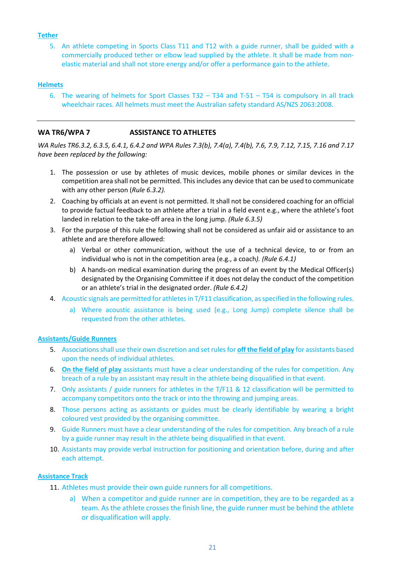#### **Tether**

5. An athlete competing in Sports Class T11 and T12 with a guide runner, shall be guided with a commercially produced tether or elbow lead supplied by the athlete. It shall be made from nonelastic material and shall not store energy and/or offer a performance gain to the athlete.

#### **Helmets**

6. The wearing of helmets for Sport Classes T32 – T34 and T-51 – T54 is compulsory in all track wheelchair races. All helmets must meet the Australian safety standard AS/NZS 2063:2008.

#### <span id="page-20-0"></span>**WA TR6/WPA 7 ASSISTANCE TO ATHLETES**

*WA Rules TR6.3.2, 6.3.5, 6.4.1, 6.4.2 and WPA Rules 7.3(b), 7.4(a), 7.4(b), 7.6, 7.9, 7.12, 7.15, 7.16 and 7.17 have been replaced by the following:*

- 1. The possession or use by athletes of music devices, mobile phones or similar devices in the competition area shall not be permitted. This includes any device that can be used to communicate with any other person (*Rule 6.3.2).*
- 2. Coaching by officials at an event is not permitted. It shall not be considered coaching for an official to provide factual feedback to an athlete after a trial in a field event e.g., where the athlete's foot landed in relation to the take-off area in the long jump. *(Rule 6.3.5)*
- 3. For the purpose of this rule the following shall not be considered as unfair aid or assistance to an athlete and are therefore allowed:
	- a) Verbal or other communication, without the use of a technical device, to or from an individual who is not in the competition area (e.g., a coach*). (Rule 6.4.1)*
	- b) A hands-on medical examination during the progress of an event by the Medical Officer(s) designated by the Organising Committee if it does not delay the conduct of the competition or an athlete's trial in the designated order. *(Rule 6.4.2)*
- 4. Acoustic signals are permitted for athletes in T/F11 classification, as specified in the following rules.
	- a) Where acoustic assistance is being used (e.g., Long Jump) complete silence shall be requested from the other athletes.

#### **Assistants/Guide Runners**

- 5. Associations shall use their own discretion and set rules for **off the field of play** for assistants based upon the needs of individual athletes.
- 6. **On the field of play** assistants must have a clear understanding of the rules for competition. Any breach of a rule by an assistant may result in the athlete being disqualified in that event.
- 7. Only assistants / guide runners for athletes in the T/F11 & 12 classification will be permitted to accompany competitors onto the track or into the throwing and jumping areas.
- 8. Those persons acting as assistants or guides must be clearly identifiable by wearing a bright coloured vest provided by the organising committee.
- 9. Guide Runners must have a clear understanding of the rules for competition. Any breach of a rule by a guide runner may result in the athlete being disqualified in that event.
- 10. Assistants may provide verbal instruction for positioning and orientation before, during and after each attempt.

#### **Assistance Track**

- 11. Athletes must provide their own guide runners for all competitions.
	- a) When a competitor and guide runner are in competition, they are to be regarded as a team. As the athlete crosses the finish line, the guide runner must be behind the athlete or disqualification will apply.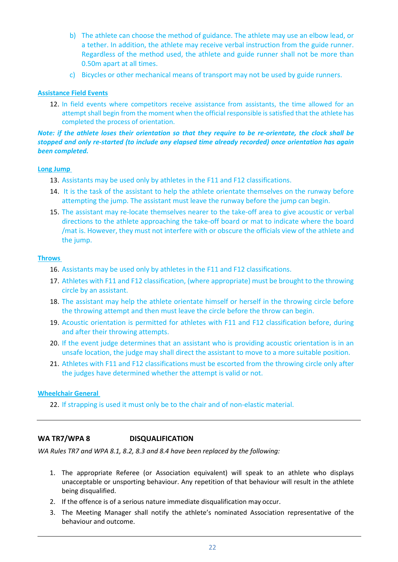- b) The athlete can choose the method of guidance. The athlete may use an elbow lead, or a tether. In addition, the athlete may receive verbal instruction from the guide runner. Regardless of the method used, the athlete and guide runner shall not be more than 0.50m apart at all times.
- c) Bicycles or other mechanical means of transport may not be used by guide runners.

#### **Assistance Field Events**

12. In field events where competitors receive assistance from assistants, the time allowed for an attempt shall begin from the moment when the official responsible is satisfied that the athlete has completed the process of orientation.

#### *Note: if the athlete loses their orientation so that they require to be re-orientate, the clock shall be stopped and only re-started (to include any elapsed time already recorded) once orientation has again been completed.*

#### **Long Jump**

- 13. Assistants may be used only by athletes in the F11 and F12 classifications.
- 14. It is the task of the assistant to help the athlete orientate themselves on the runway before attempting the jump. The assistant must leave the runway before the jump can begin.
- 15. The assistant may re-locate themselves nearer to the take-off area to give acoustic or verbal directions to the athlete approaching the take-off board or mat to indicate where the board /mat is. However, they must not interfere with or obscure the officials view of the athlete and the jump.

#### **Throws**

- 16. Assistants may be used only by athletes in the F11 and F12 classifications.
- 17. Athletes with F11 and F12 classification, (where appropriate) must be brought to the throwing circle by an assistant.
- 18. The assistant may help the athlete orientate himself or herself in the throwing circle before the throwing attempt and then must leave the circle before the throw can begin.
- 19. Acoustic orientation is permitted for athletes with F11 and F12 classification before, during and after their throwing attempts.
- 20. If the event judge determines that an assistant who is providing acoustic orientation is in an unsafe location, the judge may shall direct the assistant to move to a more suitable position.
- 21. Athletes with F11 and F12 classifications must be escorted from the throwing circle only after the judges have determined whether the attempt is valid or not.

#### **Wheelchair General**

22. If strapping is used it must only be to the chair and of non-elastic material.

#### <span id="page-21-0"></span>**WA TR7/WPA 8 DISQUALIFICATION**

*WA Rules TR7 and WPA 8.1, 8.2, 8.3 and 8.4 have been replaced by the following:*

- 1. The appropriate Referee (or Association equivalent) will speak to an athlete who displays unacceptable or unsporting behaviour. Any repetition of that behaviour will result in the athlete being disqualified.
- 2. If the offence is of a serious nature immediate disqualification may occur.
- 3. The Meeting Manager shall notify the athlete's nominated Association representative of the behaviour and outcome.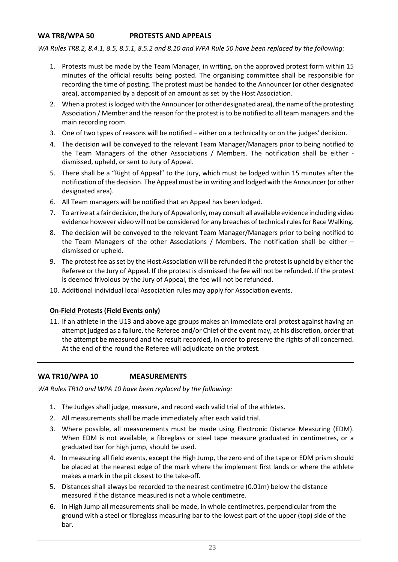#### <span id="page-22-0"></span>**WA TR8/WPA 50 PROTESTS AND APPEALS**

*WA Rules TR8.2, 8.4.1, 8.5, 8.5.1, 8.5.2 and 8.10 and WPA Rule 50 have been replaced by the following:*

- 1. Protests must be made by the Team Manager, in writing, on the approved protest form within 15 minutes of the official results being posted. The organising committee shall be responsible for recording the time of posting. The protest must be handed to the Announcer (or other designated area), accompanied by a deposit of an amount as set by the Host Association.
- 2. When a protest is lodged with the Announcer (or other designated area), the name of the protesting Association / Member and the reason for the protest is to be notified to all team managers and the main recording room.
- 3. One of two types of reasons will be notified either on a technicality or on the judges' decision.
- 4. The decision will be conveyed to the relevant Team Manager/Managers prior to being notified to the Team Managers of the other Associations / Members. The notification shall be either dismissed, upheld, or sent to Jury of Appeal.
- 5. There shall be a "Right of Appeal" to the Jury, which must be lodged within 15 minutes after the notification of the decision. The Appeal must be in writing and lodged with the Announcer (or other designated area).
- 6. All Team managers will be notified that an Appeal has been lodged.
- 7. To arrive at a fair decision, the Jury of Appeal only, may consult all available evidence including video evidence however video will not be considered for any breaches of technical rules for Race Walking.
- 8. The decision will be conveyed to the relevant Team Manager/Managers prior to being notified to the Team Managers of the other Associations / Members. The notification shall be either – dismissed or upheld.
- 9. The protest fee as set by the Host Association will be refunded if the protest is upheld by either the Referee or the Jury of Appeal. If the protest is dismissed the fee will not be refunded. If the protest is deemed frivolous by the Jury of Appeal, the fee will not be refunded.
- 10. Additional individual local Association rules may apply for Association events.

#### **On-Field Protests (Field Events only)**

11. If an athlete in the U13 and above age groups makes an immediate oral protest against having an attempt judged as a failure, the Referee and/or Chief of the event may, at his discretion, order that the attempt be measured and the result recorded, in order to preserve the rights of all concerned. At the end of the round the Referee will adjudicate on the protest.

#### <span id="page-22-1"></span>**WA TR10/WPA 10 MEASUREMENTS**

*WA Rules TR10 and WPA 10 have been replaced by the following:*

- 1. The Judges shall judge, measure, and record each valid trial of the athletes.
- 2. All measurements shall be made immediately after each valid trial.
- 3. Where possible, all measurements must be made using Electronic Distance Measuring (EDM). When EDM is not available, a fibreglass or steel tape measure graduated in centimetres, or a graduated bar for high jump, should be used.
- 4. In measuring all field events, except the High Jump, the zero end of the tape or EDM prism should be placed at the nearest edge of the mark where the implement first lands or where the athlete makes a mark in the pit closest to the take-off.
- 5. Distances shall always be recorded to the nearest centimetre (0.01m) below the distance measured if the distance measured is not a whole centimetre.
- 6. In High Jump all measurements shall be made, in whole centimetres, perpendicular from the ground with a steel or fibreglass measuring bar to the lowest part of the upper (top) side of the bar.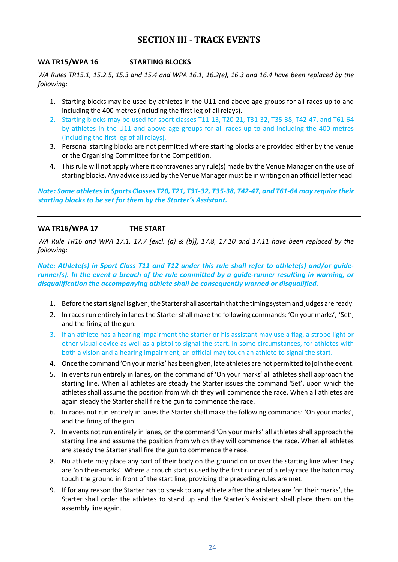### **SECTION III - TRACK EVENTS**

#### <span id="page-23-1"></span><span id="page-23-0"></span>**WA TR15/WPA 16 STARTING BLOCKS**

*WA Rules TR15.1, 15.2.5, 15.3 and 15.4 and WPA 16.1, 16.2(e), 16.3 and 16.4 have been replaced by the following:*

- 1. Starting blocks may be used by athletes in the U11 and above age groups for all races up to and including the 400 metres (including the first leg of all relays).
- 2. Starting blocks may be used for sport classes T11-13, T20-21, T31-32, T35-38, T42-47, and T61-64 by athletes in the U11 and above age groups for all races up to and including the 400 metres (including the first leg of all relays).
- 3. Personal starting blocks are not permitted where starting blocks are provided either by the venue or the Organising Committee for the Competition.
- 4. This rule will not apply where it contravenes any rule(s) made by the Venue Manager on the use of starting blocks. Any advice issued by the Venue Managermust be inwriting on an official letterhead.

*Note: Some athletes in Sports Classes T20, T21, T31-32, T35-38, T42-47, and T61-64 may require their starting blocks to be set for them by the Starter's Assistant.* 

#### <span id="page-23-2"></span>**WA TR16/WPA 17 THE START**

*WA Rule TR16 and WPA 17.1, 17.7 [excl. (a) & (b)], 17.8, 17.10 and 17.11 have been replaced by the following:*

*Note: Athlete(s) in Sport Class T11 and T12 under this rule shall refer to athlete(s) and/or guiderunner(s). In the event a breach of the rule committed by a guide-runner resulting in warning, or disqualification the accompanying athlete shall be consequently warned or disqualified.*

- 1. Before the start signal is given, the Starter shall ascertain that the timing system and judges are ready.
- 2. In races run entirely in lanes the Starter shall make the following commands: 'On your marks', 'Set', and the firing of the gun.
- 3. If an athlete has a hearing impairment the starter or his assistant may use a flag, a strobe light or other visual device as well as a pistol to signal the start. In some circumstances, for athletes with both a vision and a hearing impairment, an official may touch an athlete to signal the start.
- 4. Once the command 'On your marks' has been given, late athletes are not permitted to join the event.
- 5. In events run entirely in lanes, on the command of 'On your marks' all athletes shall approach the starting line. When all athletes are steady the Starter issues the command 'Set', upon which the athletes shall assume the position from which they will commence the race. When all athletes are again steady the Starter shall fire the gun to commence the race.
- 6. In races not run entirely in lanes the Starter shall make the following commands: 'On your marks', and the firing of the gun.
- 7. In events not run entirely in lanes, on the command 'On your marks' all athletes shall approach the starting line and assume the position from which they will commence the race. When all athletes are steady the Starter shall fire the gun to commence the race.
- 8. No athlete may place any part of their body on the ground on or over the starting line when they are 'on their-marks'. Where a crouch start is used by the first runner of a relay race the baton may touch the ground in front of the start line, providing the preceding rules are met.
- 9. If for any reason the Starter has to speak to any athlete after the athletes are 'on their marks', the Starter shall order the athletes to stand up and the Starter's Assistant shall place them on the assembly line again.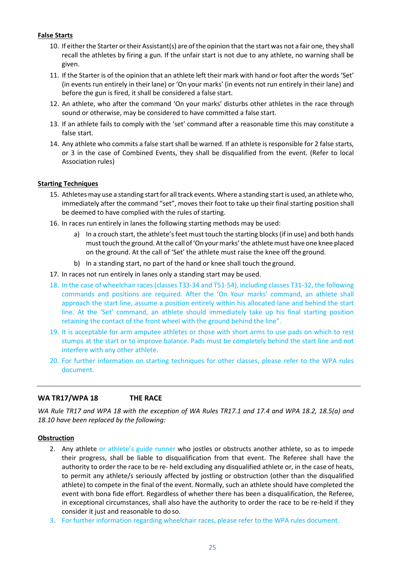#### **False Starts**

- 10. If eitherthe Starter ortheir Assistant(s) are of the opinion that the start was not a fair one, they shall recall the athletes by firing a gun. If the unfair start is not due to any athlete, no warning shall be given.
- 11. If the Starter is of the opinion that an athlete left their mark with hand or foot after the words 'Set' (in events run entirely in their lane) or 'On your marks' (in events not run entirely in their lane) and before the gun is fired, it shall be considered a false start.
- 12. An athlete, who after the command 'On your marks' disturbs other athletes in the race through sound or otherwise, may be considered to have committed a false start.
- 13. If an athlete fails to comply with the 'set' command after a reasonable time this may constitute a false start.
- 14. Any athlete who commits a false start shall be warned. If an athlete is responsible for 2 false starts, or 3 in the case of Combined Events, they shall be disqualified from the event. (Refer to local Association rules)

#### **Starting Techniques**

- 15. Athletes may use a standing start for all track events. Where a standing start is used, an athlete who, immediately after the command "set", moves their foot to take up their final starting position shall be deemed to have complied with the rules of starting.
- 16. In races run entirely in lanes the following starting methods may be used:
	- a) In a crouch start, the athlete's feet must touch the starting blocks (if in use) and both hands musttouch the ground. Atthe call of'On yourmarks'the athletemust have one knee placed on the ground. At the call of 'Set' the athlete must raise the knee off the ground.
	- b) In a standing start, no part of the hand or knee shall touch the ground.
- 17. In races not run entirely in lanes only a standing start may be used.
- 18. In the case of wheelchair races (classes T33-34 and T51-54), including classes T31-32, the following commands and positions are required. After the 'On Your marks' command, an athlete shall approach the start line, assume a position entirely within his allocated lane and behind the start line. At the 'Set' command, an athlete should immediately take up his final starting position retaining the contact of the front wheel with the ground behind the line".
- 19. It is acceptable for arm amputee athletes or those with short arms to use pads on which to rest stumps at the start or to improve balance. Pads must be completely behind the start line and not interfere with any other athlete.
- 20. For further information on starting techniques for other classes, please refer to the WPA rules document.

#### <span id="page-24-0"></span>**WA TR17/WPA 18 THE RACE**

*WA Rule TR17 and WPA 18 with the exception of WA Rules TR17.1 and 17.4 and WPA 18.2, 18.5(a) and 18.10 have been replaced by the following:*

#### **Obstruction**

- 2. Any athlete or athlete's guide runner who jostles or obstructs another athlete, so as to impede their progress, shall be liable to disqualification from that event. The Referee shall have the authority to order the race to be re- held excluding any disqualified athlete or, in the case of heats, to permit any athlete/s seriously affected by jostling or obstruction (other than the disqualified athlete) to compete in the final of the event. Normally, such an athlete should have completed the event with bona fide effort. Regardless of whether there has been a disqualification, the Referee, in exceptional circumstances, shall also have the authority to order the race to be re-held if they consider it just and reasonable to do so.
- 3. For further information regarding wheelchair races, please refer to the WPA rules document.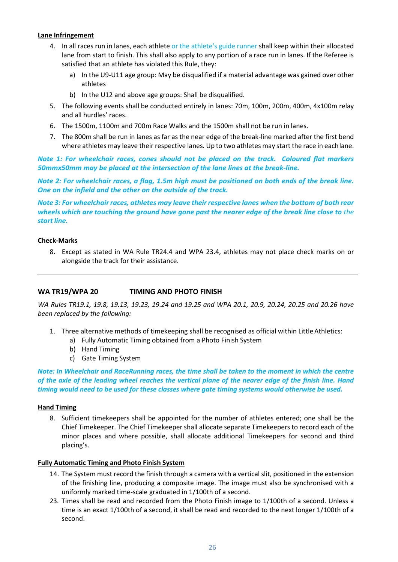#### **Lane Infringement**

- 4. In all races run in lanes, each athlete or the athlete's guide runner shall keep within their allocated lane from start to finish. This shall also apply to any portion of a race run in lanes. If the Referee is satisfied that an athlete has violated this Rule, they:
	- a) In the U9-U11 age group: May be disqualified if a material advantage was gained over other athletes
	- b) In the U12 and above age groups: Shall be disqualified.
- 5. The following events shall be conducted entirely in lanes: 70m, 100m, 200m, 400m, 4x100m relay and all hurdles' races.
- 6. The 1500m, 1100m and 700m Race Walks and the 1500m shall not be run in lanes.
- 7. The 800m shall be run in lanes as far as the near edge of the break-line marked after the first bend where athletes may leave their respective lanes. Up to two athletes may start the race in eachlane.

*Note 1: For wheelchair races, cones should not be placed on the track. Coloured flat markers 50mmx50mm may be placed at the intersection of the lane lines at the break-line.*

*Note 2: For wheelchair races, a flag, 1.5m high must be positioned on both ends of the break line. One on the infield and the other on the outside of the track.*

*Note 3: For wheelchairraces, athletes may leave theirrespective lanes when the bottom of both rear wheels which are touching the ground have gone past the nearer edge of the break line close to the start line.*

#### **Check-Marks**

8. Except as stated in WA Rule TR24.4 and WPA 23.4, athletes may not place check marks on or alongside the track for their assistance.

#### <span id="page-25-0"></span>**WA TR19/WPA 20 TIMING AND PHOTO FINISH**

*WA Rules TR19.1, 19.8, 19.13, 19.23, 19.24 and 19.25 and WPA 20.1, 20.9, 20.24, 20.25 and 20.26 have been replaced by the following:*

- 1. Three alternative methods of timekeeping shall be recognised as official within LittleAthletics:
	- a) Fully Automatic Timing obtained from a Photo Finish System
	- b) Hand Timing
	- c) Gate Timing System

*Note: In Wheelchair and RaceRunning races, the time shall be taken to the moment in which the centre* of the axle of the leading wheel reaches the vertical plane of the nearer edge of the finish line. Hand *timing would need to be used for these classes where gate timing systems would otherwise be used.*

#### **Hand Timing**

8. Sufficient timekeepers shall be appointed for the number of athletes entered; one shall be the Chief Timekeeper. The Chief Timekeeper shall allocate separate Timekeepers to record each of the minor places and where possible, shall allocate additional Timekeepers for second and third placing's.

#### **Fully Automatic Timing and Photo Finish System**

- 14. The System must record the finish through a camera with a vertical slit, positioned in the extension of the finishing line, producing a composite image. The image must also be synchronised with a uniformly marked time-scale graduated in 1/100th of a second.
- 23. Times shall be read and recorded from the Photo Finish image to 1/100th of a second. Unless a time is an exact 1/100th of a second, it shall be read and recorded to the next longer 1/100th of a second.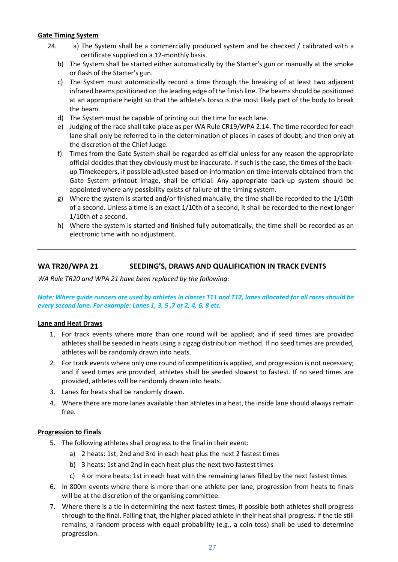#### **Gate Timing System**

- 24. a) The System shall be a commercially produced system and be checked / calibrated with a certificate supplied on a 12-monthly basis.
	- b) The System shall be started either automatically by the Starter's gun or manually at the smoke or flash of the Starter's gun.
	- c) The System must automatically record a time through the breaking of at least two adjacent infrared beams positioned on the leading edge of the finish line. The beams should be positioned at an appropriate height so that the athlete's torso is the most likely part of the body to break the beam.
	- d) The System must be capable of printing out the time for each lane.
	- e) Judging of the race shall take place as per WA Rule CR19/WPA 2.14. The time recorded for each lane shall only be referred to in the determination of places in cases of doubt, and then only at the discretion of the Chief Judge.
	- f) Times from the Gate System shall be regarded as official unless for any reason the appropriate official decides that they obviously must be inaccurate. If such is the case, the times of the backup Timekeepers, if possible adjusted based on information on time intervals obtained from the Gate System printout image, shall be official. Any appropriate back-up system should be appointed where any possibility exists of failure of the timing system.
	- g) Where the system is started and/or finished manually, the time shall be recorded to the 1/10th of a second. Unless a time is an exact 1/10th of a second, it shall be recorded to the next longer 1/10th of a second.
	- h) Where the system is started and finished fully automatically, the time shall be recorded as an electronic time with no adjustment.

#### <span id="page-26-0"></span>**WA TR20/WPA 21 SEEDING'S, DRAWS AND QUALIFICATION IN TRACK EVENTS**

*WA Rule TR20 and WPA 21 have been replaced by the following:*

*Note: Where guide runners are used by athletes in classes T11 and T12, lanes allocated for all races should be every second lane. For example: Lanes 1, 3, 5 ,7 or 2, 4, 6, 8 etc.*

#### **Lane and Heat Draws**

- 1. For track events where more than one round will be applied; and if seed times are provided athletes shall be seeded in heats using a zigzag distribution method. If no seed times are provided, athletes will be randomly drawn into heats.
- 2. For track events where only one round of competition is applied, and progression is not necessary; and if seed times are provided, athletes shall be seeded slowest to fastest. If no seed times are provided, athletes will be randomly drawn into heats.
- 3. Lanes for heats shall be randomly drawn.
- 4. Where there are more lanes available than athletes in a heat, the inside lane should always remain free.

#### **Progression to Finals**

- 5. The following athletes shall progress to the final in their event:
	- a) 2 heats: 1st, 2nd and 3rd in each heat plus the next 2 fastest times
	- b) 3 heats: 1st and 2nd in each heat plus the next two fastest times
	- c) 4 or more heats: 1st in each heat with the remaining lanes filled by the next fastesttimes
- 6. In 800m events where there is more than one athlete per lane, progression from heats to finals will be at the discretion of the organising committee.
- 7. Where there is a tie in determining the next fastest times, if possible both athletes shall progress through to the final. Failing that, the higher placed athlete in their heat shall progress. If the tie still remains, a random process with equal probability (e.g., a coin toss) shall be used to determine progression.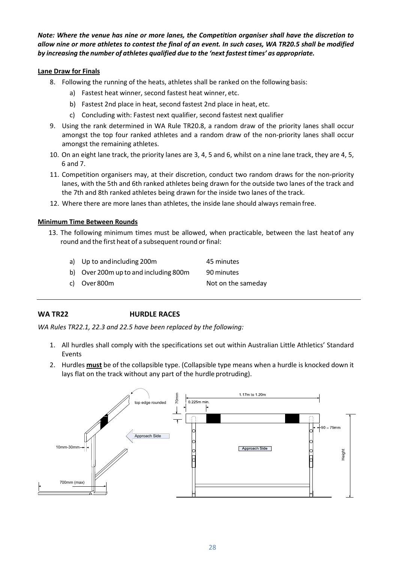*Note: Where the venue has nine or more lanes, the Competition organiser shall have the discretion to allow nine or more athletes to contest the final of an event. In such cases, WA TR20.5 shall be modified by increasing the number of athletes qualified due to the 'next fastest times' as appropriate.*

#### **Lane Draw for Finals**

- 8. Following the running of the heats, athletes shall be ranked on the following basis:
	- a) Fastest heat winner, second fastest heat winner, etc.
	- b) Fastest 2nd place in heat, second fastest 2nd place in heat, etc.
	- c) Concluding with: Fastest next qualifier, second fastest next qualifier
- 9. Using the rank determined in WA Rule TR20.8, a random draw of the priority lanes shall occur amongst the top four ranked athletes and a random draw of the non-priority lanes shall occur amongst the remaining athletes.
- 10. On an eight lane track, the priority lanes are 3, 4, 5 and 6, whilst on a nine lane track, they are 4, 5, 6 and 7.
- 11. Competition organisers may, at their discretion, conduct two random draws for the non-priority lanes, with the 5th and 6th ranked athletes being drawn for the outside two lanes of the track and the 7th and 8th ranked athletes being drawn for the inside two lanes of the track.
- 12. Where there are more lanes than athletes, the inside lane should always remain free.

#### **Minimum Time Between Rounds**

13. The following minimum times must be allowed, when practicable, between the last heatof any round and the first heat of a subsequent round or final:

| a) Up to and including 200 m          | 45 minutes         |
|---------------------------------------|--------------------|
| b) Over 200m up to and including 800m | 90 minutes         |
| c) Over 800m                          | Not on the sameday |

#### <span id="page-27-0"></span>**WA TR22 HURDLE RACES**

*WA Rules TR22.1, 22.3 and 22.5 have been replaced by the following:*

- 1. All hurdles shall comply with the specifications set out within Australian Little Athletics' Standard Events
- 2. Hurdles **must** be of the collapsible type. (Collapsible type means when a hurdle is knocked down it lays flat on the track without any part of the hurdle protruding).

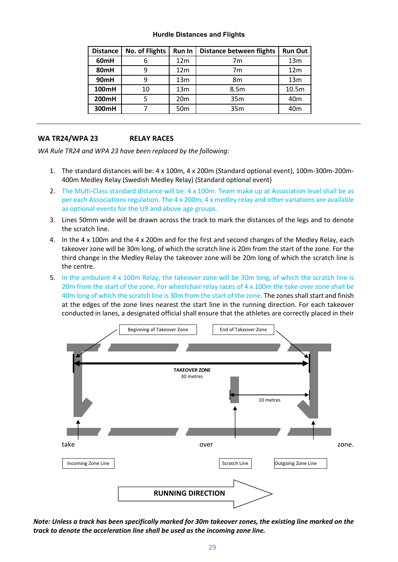#### **Hurdle Distances and Flights**

| <b>Distance</b> | <b>No. of Flights</b> | Run In          | <b>Distance between flights</b> | <b>Run Out</b>  |
|-----------------|-----------------------|-----------------|---------------------------------|-----------------|
| 60mH            | 6                     | 12 <sub>m</sub> | 7m                              | 13 <sub>m</sub> |
| 80mH            | 9                     | 12 <sub>m</sub> | 7m                              | 12 <sub>m</sub> |
| 90mH            | 9                     | 13 <sub>m</sub> | 8m                              | 13 <sub>m</sub> |
| 100mH           | 10                    | 13 <sub>m</sub> | 8.5m                            | 10.5m           |
| 200mH           |                       | 20 <sub>m</sub> | 35m                             | 40 <sub>m</sub> |
| 300mH           |                       | 50 <sub>m</sub> | 35m                             | 40m             |

#### <span id="page-28-0"></span>**WA TR24/WPA 23 RELAY RACES**

*WA Rule TR24 and WPA 23 have been replaced by the following:*

- 1. The standard distances will be: 4 x 100m, 4 x 200m (Standard optional event), 100m-300m-200m-400m Medley Relay (Swedish Medley Relay) (Standard optional event)
- 2. The Multi-Class standard distance will be: 4 x 100m. Team make up at Association level shall be as per each Associations regulation. The 4 x 200m, 4 x medley relay and other variations are available as optional events for the U9 and above age groups.
- 3. Lines 50mm wide will be drawn across the track to mark the distances of the legs and to denote the scratch line.
- 4. In the 4 x 100m and the 4 x 200m and for the first and second changes of the Medley Relay, each takeover zone will be 30m long, of which the scratch line is 20m from the start of the zone. For the third change in the Medley Relay the takeover zone will be 20m long of which the scratch line is the centre.
- 5. In the ambulant 4 x 100m Relay, the takeover zone will be 30m long, of which the scratch line is 20m from the start of the zone. For wheelchair relay races of 4 x 100m the take-over zone shall be 40m long of which the scratch line is 30m from the start of the zone. The zones shall start and finish at the edges of the zone lines nearest the start line in the running direction. For each takeover conducted in lanes, a designated official shall ensure that the athletes are correctly placed in their



*Note: Unless a track has been specifically marked for 30m takeover zones, the existing line marked on the track to denote the acceleration line shall be used as the incoming zone line.*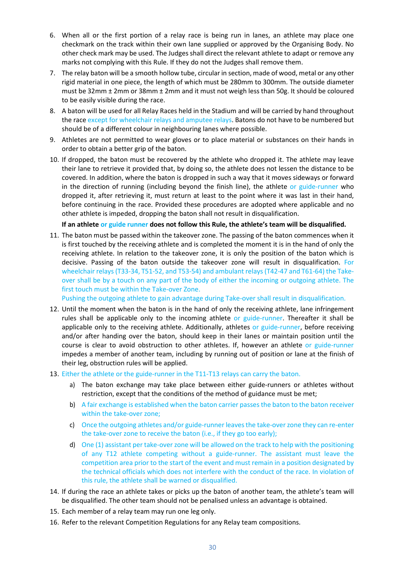- 6. When all or the first portion of a relay race is being run in lanes, an athlete may place one checkmark on the track within their own lane supplied or approved by the Organising Body. No other check mark may be used. The Judges shall direct the relevant athlete to adapt or remove any marks not complying with this Rule. If they do not the Judges shall remove them.
- 7. The relay baton will be a smooth hollow tube, circular in section, made of wood, metal or any other rigid material in one piece, the length of which must be 280mm to 300mm. The outside diameter must be 32mm ± 2mm or 38mm ± 2mm and it must not weigh less than 50g. It should be coloured to be easily visible during the race.
- 8. A baton will be used for all Relay Races held in the Stadium and will be carried by hand throughout the race except for wheelchair relays and amputee relays. Batons do not have to be numbered but should be of a different colour in neighbouring lanes where possible.
- 9. Athletes are not permitted to wear gloves or to place material or substances on their hands in order to obtain a better grip of the baton.
- 10. If dropped, the baton must be recovered by the athlete who dropped it. The athlete may leave their lane to retrieve it provided that, by doing so, the athlete does not lessen the distance to be covered. In addition, where the baton is dropped in such a way that it moves sideways or forward in the direction of running (including beyond the finish line), the athlete or guide-runner who dropped it, after retrieving it, must return at least to the point where it was last in their hand, before continuing in the race. Provided these procedures are adopted where applicable and no other athlete is impeded, dropping the baton shall not result in disqualification.

#### **If an athlete or guide runner does not follow this Rule, the athlete's team will be disqualified.**

11. The baton must be passed within the takeover zone. The passing of the baton commences when it is first touched by the receiving athlete and is completed the moment it is in the hand of only the receiving athlete. In relation to the takeover zone, it is only the position of the baton which is decisive. Passing of the baton outside the takeover zone will result in disqualification. For wheelchair relays (T33-34, T51-52, and T53-54) and ambulant relays (T42-47 and T61-64) the Takeover shall be by a touch on any part of the body of either the incoming or outgoing athlete. The first touch must be within the Take-over Zone.

Pushing the outgoing athlete to gain advantage during Take-over shall result in disqualification.

- 12. Until the moment when the baton is in the hand of only the receiving athlete, lane infringement rules shall be applicable only to the incoming athlete or guide-runner. Thereafter it shall be applicable only to the receiving athlete. Additionally, athletes or guide-runner, before receiving and/or after handing over the baton, should keep in their lanes or maintain position until the course is clear to avoid obstruction to other athletes. If, however an athlete or guide-runner impedes a member of another team, including by running out of position or lane at the finish of their leg, obstruction rules will be applied.
- 13. Either the athlete or the guide-runner in the T11-T13 relays can carry the baton.
	- a) The baton exchange may take place between either guide-runners or athletes without restriction, except that the conditions of the method of guidance must be met;
	- b) A fair exchange is established when the baton carrier passes the baton to the baton receiver within the take-over zone;
	- c) Once the outgoing athletes and/or guide-runner leaves the take-over zone they can re-enter the take-over zone to receive the baton (i.e., if they go too early);
	- d) One (1) assistant per take-over zone will be allowed on the track to help with the positioning of any T12 athlete competing without a guide-runner. The assistant must leave the competition area prior to the start of the event and must remain in a position designated by the technical officials which does not interfere with the conduct of the race. In violation of this rule, the athlete shall be warned or disqualified.
- 14. If during the race an athlete takes or picks up the baton of another team, the athlete's team will be disqualified. The other team should not be penalised unless an advantage is obtained.
- 15. Each member of a relay team may run one leg only.
- 16. Refer to the relevant Competition Regulations for any Relay team compositions.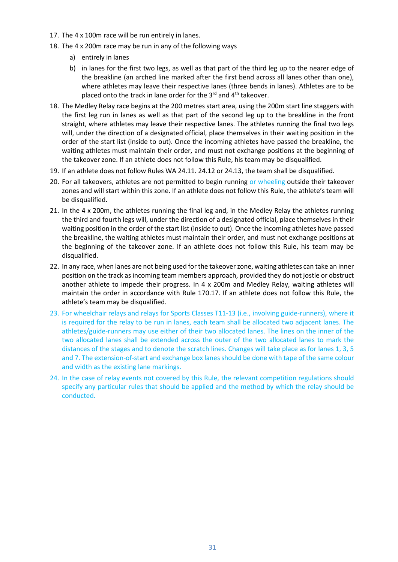- 17. The 4 x 100m race will be run entirely in lanes.
- 18. The 4 x 200m race may be run in any of the following ways
	- a) entirely in lanes
	- b) in lanes for the first two legs, as well as that part of the third leg up to the nearer edge of the breakline (an arched line marked after the first bend across all lanes other than one), where athletes may leave their respective lanes (three bends in lanes). Athletes are to be placed onto the track in lane order for the  $3^{rd}$  and  $4^{th}$  takeover.
- 18. The Medley Relay race begins at the 200 metres start area, using the 200m start line staggers with the first leg run in lanes as well as that part of the second leg up to the breakline in the front straight, where athletes may leave their respective lanes. The athletes running the final two legs will, under the direction of a designated official, place themselves in their waiting position in the order of the start list (inside to out). Once the incoming athletes have passed the breakline, the waiting athletes must maintain their order, and must not exchange positions at the beginning of the takeover zone. If an athlete does not follow this Rule, his team may be disqualified.
- 19. If an athlete does not follow Rules WA 24.11. 24.12 or 24.13, the team shall be disqualified.
- 20. For all takeovers, athletes are not permitted to begin running or wheeling outside their takeover zones and will start within this zone. If an athlete does not follow this Rule, the athlete's team will be disqualified.
- 21. In the 4 x 200m, the athletes running the final leg and, in the Medley Relay the athletes running the third and fourth legs will, under the direction of a designated official, place themselves in their waiting position in the order of the start list (inside to out). Once the incoming athletes have passed the breakline, the waiting athletes must maintain their order, and must not exchange positions at the beginning of the takeover zone. If an athlete does not follow this Rule, his team may be disqualified.
- 22. In any race, when lanes are not being used for the takeover zone, waiting athletes can take an inner position on the track as incoming team members approach, provided they do not jostle or obstruct another athlete to impede their progress. In 4 x 200m and Medley Relay, waiting athletes will maintain the order in accordance with Rule 170.17. If an athlete does not follow this Rule, the athlete's team may be disqualified.
- 23. For wheelchair relays and relays for Sports Classes T11-13 (i.e., involving guide-runners), where it is required for the relay to be run in lanes, each team shall be allocated two adjacent lanes. The athletes/guide-runners may use either of their two allocated lanes. The lines on the inner of the two allocated lanes shall be extended across the outer of the two allocated lanes to mark the distances of the stages and to denote the scratch lines. Changes will take place as for lanes 1, 3, 5 and 7. The extension-of-start and exchange box lanes should be done with tape of the same colour and width as the existing lane markings.
- 24. In the case of relay events not covered by this Rule, the relevant competition regulations should specify any particular rules that should be applied and the method by which the relay should be conducted.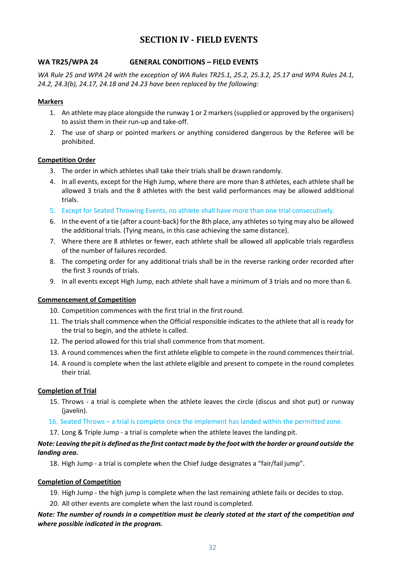## **SECTION IV - FIELD EVENTS**

#### <span id="page-31-1"></span><span id="page-31-0"></span>**WA TR25/WPA 24 GENERAL CONDITIONS – FIELD EVENTS**

*WA Rule 25 and WPA 24 with the exception of WA Rules TR25.1, 25.2, 25.3.2, 25.17 and WPA Rules 24.1, 24.2, 24.3(b), 24.17, 24.18 and 24.23 have been replaced by the following:*

#### **Markers**

- 1. An athlete may place alongside the runway 1 or 2 markers (supplied or approved by the organisers) to assist them in their run-up and take-off.
- 2. The use of sharp or pointed markers or anything considered dangerous by the Referee will be prohibited.

#### **Competition Order**

- 3. The order in which athletes shall take their trials shall be drawn randomly.
- 4. In all events, except for the High Jump, where there are more than 8 athletes, each athlete shall be allowed 3 trials and the 8 athletes with the best valid performances may be allowed additional trials.
- 5. Except for Seated Throwing Events, no athlete shall have more than one trial consecutively.
- 6. In the event of a tie (after a count-back) for the 8th place, any athletes so tying may also be allowed the additional trials. (Tying means, in this case achieving the same distance).
- 7. Where there are 8 athletes or fewer, each athlete shall be allowed all applicable trials regardless of the number of failures recorded.
- 8. The competing order for any additional trials shall be in the reverse ranking order recorded after the first 3 rounds of trials.
- 9. In all events except High Jump, each athlete shall have a minimum of 3 trials and no more than 6.

#### **Commencement of Competition**

- 10. Competition commences with the first trial in the first round.
- 11. The trials shall commence when the Official responsible indicates to the athlete that all is ready for the trial to begin, and the athlete is called.
- 12. The period allowed for this trial shall commence from that moment.
- 13. A round commences when the first athlete eligible to compete in the round commences theirtrial.
- 14. A round is complete when the last athlete eligible and present to compete in the round completes their trial.

#### **Completion of Trial**

- 15. Throws a trial is complete when the athlete leaves the circle (discus and shot put) or runway (javelin).
- 16. Seated Throws a trial is complete once the implement has landed within the permitted zone.

17. Long & Triple Jump - a trial is complete when the athlete leaves the landing pit.

#### Note: Leaving the pit is defined as the first contact made by the foot with the border or ground outside the *landing area.*

18. High Jump - a trial is complete when the Chief Judge designates a "fair/fail jump".

#### **Completion of Competition**

- 19. High Jump the high jump is complete when the last remaining athlete fails or decides to stop.
- 20. All other events are complete when the last round is completed.

#### *Note: The number of rounds in a competition must be clearly stated at the start of the competition and where possible indicated in the program.*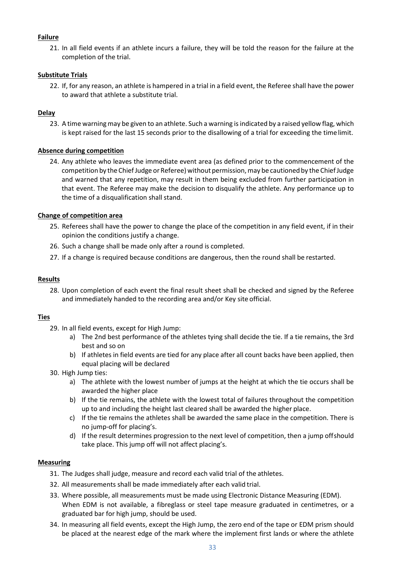#### **Failure**

21. In all field events if an athlete incurs a failure, they will be told the reason for the failure at the completion of the trial.

#### **Substitute Trials**

22. If, for any reason, an athlete is hampered in a trial in a field event, the Referee shall have the power to award that athlete a substitute trial.

#### **Delay**

23. A time warning may be given to an athlete. Such a warning is indicated by a raised yellow flag, which is kept raised for the last 15 seconds prior to the disallowing of a trial for exceeding the timelimit.

#### **Absence during competition**

24. Any athlete who leaves the immediate event area (as defined prior to the commencement of the competition by the Chief Judge or Referee) without permission, may be cautioned by the Chief Judge and warned that any repetition, may result in them being excluded from further participation in that event. The Referee may make the decision to disqualify the athlete. Any performance up to the time of a disqualification shall stand.

#### **Change of competition area**

- 25. Referees shall have the power to change the place of the competition in any field event, if in their opinion the conditions justify a change.
- 26. Such a change shall be made only after a round is completed.
- 27. If a change is required because conditions are dangerous, then the round shall be restarted.

#### **Results**

28. Upon completion of each event the final result sheet shall be checked and signed by the Referee and immediately handed to the recording area and/or Key site official.

#### **Ties**

- 29. In all field events, except for High Jump:
	- a) The 2nd best performance of the athletes tying shall decide the tie. If a tie remains, the 3rd best and so on
	- b) If athletes in field events are tied for any place after all count backs have been applied, then equal placing will be declared
- 30. High Jump ties:
	- a) The athlete with the lowest number of jumps at the height at which the tie occurs shall be awarded the higher place
	- b) If the tie remains, the athlete with the lowest total of failures throughout the competition up to and including the height last cleared shall be awarded the higher place.
	- c) If the tie remains the athletes shall be awarded the same place in the competition. There is no jump-off for placing's.
	- d) If the result determines progression to the next level of competition, then a jump offshould take place. This jump off will not affect placing's.

#### **Measuring**

- 31. The Judges shall judge, measure and record each valid trial of the athletes.
- 32. All measurements shall be made immediately after each valid trial.
- 33. Where possible, all measurements must be made using Electronic Distance Measuring (EDM). When EDM is not available, a fibreglass or steel tape measure graduated in centimetres, or a graduated bar for high jump, should be used.
- 34. In measuring all field events, except the High Jump, the zero end of the tape or EDM prism should be placed at the nearest edge of the mark where the implement first lands or where the athlete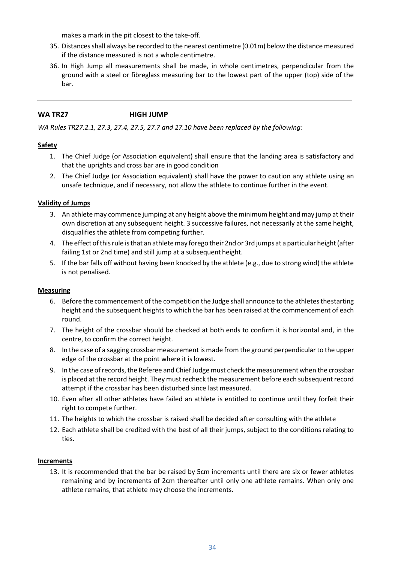makes a mark in the pit closest to the take-off.

- 35. Distances shall always be recorded to the nearest centimetre (0.01m) below the distance measured if the distance measured is not a whole centimetre.
- 36. In High Jump all measurements shall be made, in whole centimetres, perpendicular from the ground with a steel or fibreglass measuring bar to the lowest part of the upper (top) side of the bar.

#### <span id="page-33-0"></span>**WA TR27 HIGH JUMP**

*WA Rules TR27.2.1, 27.3, 27.4, 27.5, 27.7 and 27.10 have been replaced by the following:*

#### **Safety**

- 1. The Chief Judge (or Association equivalent) shall ensure that the landing area is satisfactory and that the uprights and cross bar are in good condition
- 2. The Chief Judge (or Association equivalent) shall have the power to caution any athlete using an unsafe technique, and if necessary, not allow the athlete to continue further in the event.

#### **Validity of Jumps**

- 3. An athlete may commence jumping at any height above the minimum height and may jump at their own discretion at any subsequent height. 3 successive failures, not necessarily at the same height, disqualifies the athlete from competing further.
- 4. The effect ofthisrule isthat an athletemay forego their 2nd or 3rd jumps at a particular height(after failing 1st or 2nd time) and still jump at a subsequent height.
- 5. If the bar falls off without having been knocked by the athlete (e.g., due to strong wind) the athlete is not penalised.

#### **Measuring**

- 6. Before the commencement of the competition the Judge shall announce to the athletes thestarting height and the subsequent heights to which the bar has been raised at the commencement of each round.
- 7. The height of the crossbar should be checked at both ends to confirm it is horizontal and, in the centre, to confirm the correct height.
- 8. In the case of a sagging crossbar measurement is made from the ground perpendicular to the upper edge of the crossbar at the point where it is lowest.
- 9. In the case ofrecords,the Referee and Chief Judge must check themeasurement when the crossbar is placed at the record height. They must recheck the measurement before each subsequent record attempt if the crossbar has been disturbed since lastmeasured.
- 10. Even after all other athletes have failed an athlete is entitled to continue until they forfeit their right to compete further.
- 11. The heights to which the crossbar is raised shall be decided after consulting with the athlete
- 12. Each athlete shall be credited with the best of all their jumps, subject to the conditions relating to ties.

#### **Increments**

13. It is recommended that the bar be raised by 5cm increments until there are six or fewer athletes remaining and by increments of 2cm thereafter until only one athlete remains. When only one athlete remains, that athlete may choose the increments.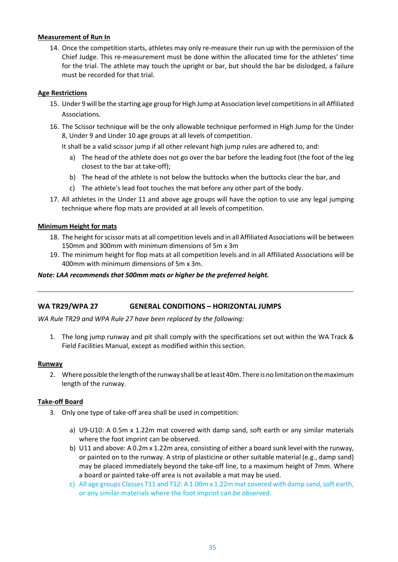#### **Measurement of Run In**

14. Once the competition starts, athletes may only re-measure their run up with the permission of the Chief Judge. This re-measurement must be done within the allocated time for the athletes' time for the trial. The athlete may touch the upright or bar, but should the bar be dislodged, a failure must be recorded for that trial.

#### **Age Restrictions**

- 15. Under 9 will be the starting age group for High Jump at Association level competitions in all Affiliated Associations.
- 16. The Scissor technique will be the only allowable technique performed in High Jump for the Under 8, Under 9 and Under 10 age groups at all levels of competition.

It shall be a valid scissor jump if all other relevant high jump rules are adhered to, and:

- a) The head of the athlete does not go over the bar before the leading foot (the foot of the leg closest to the bar at take-off);
- b) The head of the athlete is not below the buttocks when the buttocks clear the bar, and
- c) The athlete's lead foot touches the mat before any other part of the body.
- 17. All athletes in the Under 11 and above age groups will have the option to use any legal jumping technique where flop mats are provided at all levels of competition.

#### **Minimum Height for mats**

- 18. The height for scissor mats at all competition levels and in all Affiliated Associations will be between 150mm and 300mm with minimum dimensions of 5m x 3m
- 19. The minimum height for flop mats at all competition levels and in all Affiliated Associations will be 400mm with minimum dimensions of 5m x 3m.

#### *Note: LAA recommends that 500mm mats or higher be the preferred height.*

#### <span id="page-34-0"></span>**WA TR29/WPA 27 GENERAL CONDITIONS – HORIZONTAL JUMPS**

*WA Rule TR29 and WPA Rule 27 have been replaced by the following:*

1. The long jump runway and pit shall comply with the specifications set out within the WA Track & Field Facilities Manual, except as modified within thissection.

#### **Runway**

2. Where possible the length of the runway shall be at least 40m. There is no limitation on the maximum length of the runway.

#### **Take-off Board**

- 3. Only one type of take-off area shall be used in competition:
	- a) U9-U10: A 0.5m x 1.22m mat covered with damp sand, soft earth or any similar materials where the foot imprint can be observed.
	- b) U11 and above: A 0.2m x 1.22m area, consisting of either a board sunk level with the runway, or painted on to the runway. A strip of plasticine or other suitable material (e.g., damp sand) may be placed immediately beyond the take-off line, to a maximum height of 7mm. Where a board or painted take-off area is not available a mat may be used.
	- c) All age groups Classes T11 and T12: A 1.00m x 1.22m mat covered with damp sand, soft earth, or any similar materials where the foot imprint can be observed.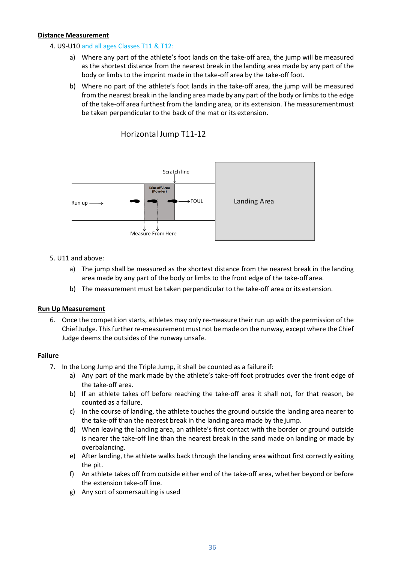#### **Distance Measurement**

#### 4. U9-U10 and all ages Classes T11 & T12:

- a) Where any part of the athlete's foot lands on the take-off area, the jump will be measured as the shortest distance from the nearest break in the landing area made by any part of the body or limbs to the imprint made in the take-off area by the take-offfoot.
- b) Where no part of the athlete's foot lands in the take-off area, the jump will be measured from the nearest break in the landing area made by any part of the body or limbs to the edge of the take-off area furthest from the landing area, or its extension. The measurementmust be taken perpendicular to the back of the mat or its extension.



#### Horizontal Jump T11-12

#### 5. U11 and above:

- a) The jump shall be measured as the shortest distance from the nearest break in the landing area made by any part of the body or limbs to the front edge of the take-off area.
- b) The measurement must be taken perpendicular to the take-off area or its extension.

#### **Run Up Measurement**

6. Once the competition starts, athletes may only re-measure their run up with the permission of the Chief Judge. This further re-measurement must not be made on the runway, except where the Chief Judge deems the outsides of the runway unsafe.

#### **Failure**

- 7. In the Long Jump and the Triple Jump, it shall be counted as a failure if:
	- a) Any part of the mark made by the athlete's take-off foot protrudes over the front edge of the take-off area.
	- b) If an athlete takes off before reaching the take-off area it shall not, for that reason, be counted as a failure.
	- c) In the course of landing, the athlete touches the ground outside the landing area nearer to the take-off than the nearest break in the landing area made by the jump.
	- d) When leaving the landing area, an athlete's first contact with the border or ground outside is nearer the take-off line than the nearest break in the sand made on landing or made by overbalancing.
	- e) After landing, the athlete walks back through the landing area without first correctly exiting the pit.
	- f) An athlete takes off from outside either end of the take-off area, whether beyond or before the extension take-off line.
	- g) Any sort of somersaulting is used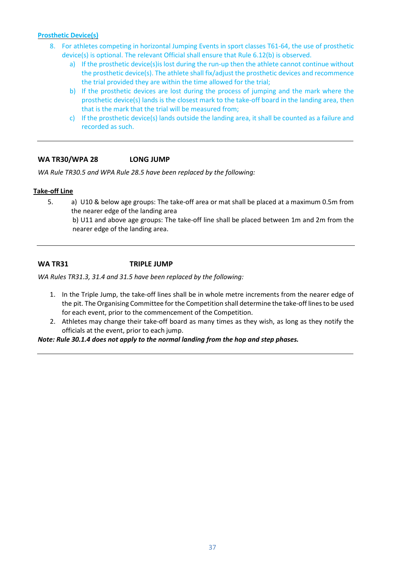#### **Prosthetic Device(s)**

- 8. For athletes competing in horizontal Jumping Events in sport classes T61-64, the use of prosthetic device(s) is optional. The relevant Official shall ensure that Rule 6.12(b) is observed.
	- a) If the prosthetic device(s) is lost during the run-up then the athlete cannot continue without the prosthetic device(s). The athlete shall fix/adjust the prosthetic devices and recommence the trial provided they are within the time allowed for the trial;
	- b) If the prosthetic devices are lost during the process of jumping and the mark where the prosthetic device(s) lands is the closest mark to the take-off board in the landing area, then that is the mark that the trial will be measured from;
	- c) If the prosthetic device(s) lands outside the landing area, it shall be counted as a failure and recorded as such.

#### <span id="page-36-0"></span>**WA TR30/WPA 28 LONG JUMP**

*WA Rule TR30.5 and WPA Rule 28.5 have been replaced by the following:*

#### **Take-off Line**

5. a) U10 & below age groups: The take-off area or mat shall be placed at a maximum 0.5m from the nearer edge of the landing area

b) U11 and above age groups: The take-off line shall be placed between 1m and 2m from the nearer edge of the landing area.

#### <span id="page-36-1"></span>**WA TR31 TRIPLE JUMP**

*WA Rules TR31.3, 31.4 and 31.5 have been replaced by the following:*

- 1. In the Triple Jump, the take-off lines shall be in whole metre increments from the nearer edge of the pit. The Organising Committee for the Competition shall determine the take-off lines to be used for each event, prior to the commencement of the Competition.
- 2. Athletes may change their take-off board as many times as they wish, as long as they notify the officials at the event, prior to each jump.

*Note: Rule 30.1.4 does not apply to the normal landing from the hop and step phases.*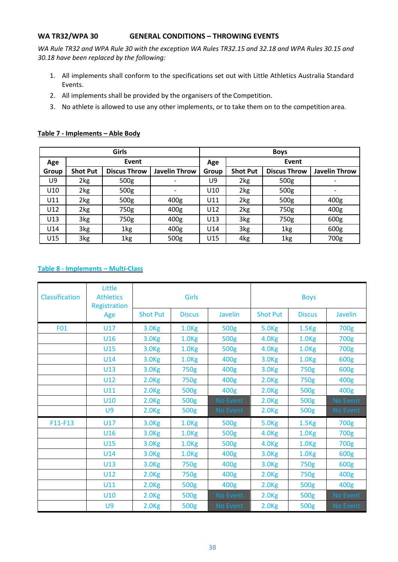#### <span id="page-37-0"></span>**WA TR32/WPA 30 GENERAL CONDITIONS – THROWING EVENTS**

*WA Rule TR32 and WPA Rule 30 with the exception WA Rules TR32.15 and 32.18 and WPA Rules 30.15 and 30.18 have been replaced by the following:*

- 1. All implements shall conform to the specifications set out with Little Athletics Australia Standard Events.
- 2. All implements shall be provided by the organisers of the Competition.
- 3. No athlete is allowed to use any other implements, or to take them on to the competition area.

#### **Table 7 - Implements – Able Body**

|       |                 | Girls               |                      | <b>Boys</b> |                 |                     |               |
|-------|-----------------|---------------------|----------------------|-------------|-----------------|---------------------|---------------|
| Age   |                 | Event               |                      | Age         |                 | Event               |               |
| Group | <b>Shot Put</b> | <b>Discus Throw</b> | <b>Javelin Throw</b> | Group       | <b>Shot Put</b> | <b>Discus Throw</b> | Javelin Throw |
| U9    | 2kg             | 500g                |                      | U9          | 2kg             | 500g                |               |
| U10   | 2kg             | 500g                |                      | U10         | 2kg             | 500g                |               |
| U11   | 2kg             | 500g                | 400 <sub>g</sub>     | U11         | 2kg             | 500g                | 400g          |
| U12   | 2kg             | 750g                | 400 <sub>g</sub>     | U12         | 2kg             | 750g                | 400g          |
| U13   | 3kg             | 750g                | 400 <sub>g</sub>     | U13         | 3kg             | 750g                | 600g          |
| U14   | 3kg             | 1kg                 | 400 <sub>g</sub>     | U14         | 3kg             | 1kg                 | 600g          |
| U15   | 3kg             | 1kg                 | 500g                 | U15         | 4kg             | 1kg                 | 700g          |

#### **Table 8 - Implements – Multi-Class**

| Classification | Little<br><b>Athletics</b><br><b>Registration</b> |                   | Girls             |                | <b>Boys</b>       |                   |                |
|----------------|---------------------------------------------------|-------------------|-------------------|----------------|-------------------|-------------------|----------------|
|                | Age                                               | <b>Shot Put</b>   | <b>Discus</b>     | <b>Javelin</b> | <b>Shot Put</b>   | <b>Discus</b>     | <b>Javelin</b> |
| F01            | U17                                               | 3.0 <sub>Kg</sub> | 1.0 <sub>kg</sub> | 500g           | 5.0 <sub>Kg</sub> | 1.5 <sub>kg</sub> | 700g           |
|                | U16                                               | 3.0 <sub>kg</sub> | 1.0 <sub>kg</sub> | 500g           | 4.0 <sub>Kg</sub> | 1.0 <sub>kg</sub> | 700g           |
|                | U15                                               | 3.0 <sub>kg</sub> | 1.0 <sub>kg</sub> | 500g           | 4.0 <sub>Kg</sub> | 1.0 <sub>kg</sub> | 700g           |
|                | U14                                               | 3.0 <sub>kg</sub> | 1.0 <sub>kg</sub> | 400g           | 3.0 <sub>Kg</sub> | 1.0 <sub>kg</sub> | 600g           |
|                | U13                                               | 3.0 <sub>Kg</sub> | 750g              | 400g           | 3.0 <sub>kg</sub> | 750g              | 600g           |
|                | U12                                               | 2.0 <sub>kg</sub> | 750g              | 400g           | 2.0 <sub>kg</sub> | 750g              | 400g           |
|                | U11                                               | 2.0 <sub>kg</sub> | 500g              | 400g           | 2.0 <sub>Kg</sub> | 500g              | 400g           |
|                | U10                                               | 2.0 <sub>kg</sub> | 500g              | No Event       | 2.0 <sub>kg</sub> | 500g              | No Event       |
|                | U9                                                | 2.0 <sub>Kg</sub> | 500g              | No Event       | 2.0 <sub>kg</sub> | 500g              | No Event       |
| F11-F13        | <b>U17</b>                                        | 3.0 <sub>kg</sub> | 1.0 <sub>kg</sub> | 500g           | 5.0 <sub>Kg</sub> | 1.5 <sub>kg</sub> | 700g           |
|                | U16                                               | 3.0 <sub>Kg</sub> | 1.0 <sub>kg</sub> | 500g           | 4.0 <sub>Kg</sub> | 1.0 <sub>kg</sub> | 700g           |
|                | U15                                               | 3.0 <sub>Kg</sub> | 1.0 <sub>kg</sub> | 500g           | 4.0 <sub>Kg</sub> | 1.0 <sub>kg</sub> | 700g           |
|                | U14                                               | 3.0 <sub>Kg</sub> | 1.0 <sub>kg</sub> | 400g           | 3.0 <sub>kg</sub> | 1.0 <sub>kg</sub> | 600g           |
|                | U13                                               | 3.0 <sub>kg</sub> | 750g              | 400g           | 3.0 <sub>kg</sub> | 750g              | 600g           |
|                | U12                                               | 2.0 <sub>kg</sub> | 750g              | 400g           | 2.0 <sub>kg</sub> | 750g              | 400g           |
|                | U11                                               | 2.0 <sub>kg</sub> | 500g              | 400g           | 2.0 <sub>kg</sub> | 500g              | 400g           |
|                | U10                                               | 2.0 <sub>kg</sub> | 500g              | No Event       | 2.0 <sub>kg</sub> | 500g              | No Event       |
|                | U9                                                | 2.0 <sub>kg</sub> | 500g              | No Event       | 2.0 <sub>kg</sub> | 500g              | No Event       |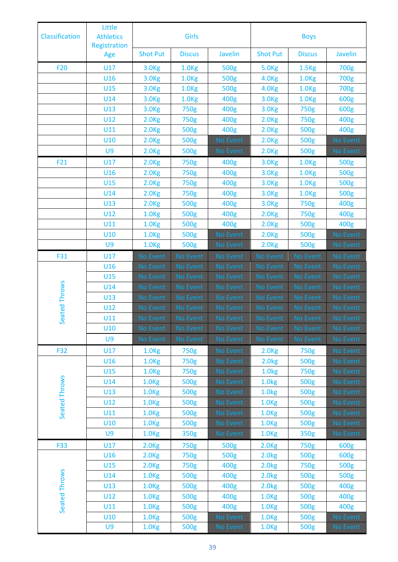| Classification | Little<br><b>Athletics</b><br>Registration |                   | Girls             |                 | <b>Boys</b>       |                   |          |
|----------------|--------------------------------------------|-------------------|-------------------|-----------------|-------------------|-------------------|----------|
|                | Age                                        | <b>Shot Put</b>   | <b>Discus</b>     | <b>Javelin</b>  | <b>Shot Put</b>   | <b>Discus</b>     | Javelin  |
| <b>F20</b>     | U17                                        | 3.0 <sub>Kg</sub> | 1.0 <sub>kg</sub> | 500g            | 5.0 <sub>Kg</sub> | 1.5 <sub>kg</sub> | 700g     |
|                | U16                                        | 3.0 <sub>Kg</sub> | 1.0 <sub>kg</sub> | 500g            | 4.0 <sub>Kg</sub> | 1.0 <sub>kg</sub> | 700g     |
|                | U15                                        | 3.0 <sub>Kg</sub> | 1.0 <sub>Kg</sub> | 500g            | 4.0 <sub>kg</sub> | 1.0 <sub>kg</sub> | 700g     |
|                | U14                                        | 3.0 <sub>kg</sub> | 1.0 <sub>kg</sub> | 400g            | 3.0 <sub>Kg</sub> | 1.0 <sub>Kg</sub> | 600g     |
|                | U13                                        | 3.0 <sub>Kg</sub> | 750g              | 400g            | 3.0 <sub>Kg</sub> | 750g              | 600g     |
|                | U12                                        | 2.0 <sub>kg</sub> | 750g              | 400g            | 2.0 <sub>kg</sub> | 750g              | 400g     |
|                | U11                                        | 2.0 <sub>kg</sub> | 500g              | 400g            | 2.0 <sub>kg</sub> | 500g              | 400g     |
|                | U10                                        | 2.0 <sub>kg</sub> | 500g              | No Event        | 2.0 <sub>kg</sub> | 500g              | No Event |
|                | U9                                         | 2.0 <sub>kg</sub> | 500g              | No Event        | 2.0 <sub>kg</sub> | 500g              | No Event |
| F21            | U17                                        | 2.0 <sub>kg</sub> | 750g              | 400g            | 3.0 <sub>Kg</sub> | 1.0 <sub>Kg</sub> | 500g     |
|                | U16                                        | 2.0 <sub>kg</sub> | 750g              | 400g            | 3.0 <sub>Kg</sub> | 1.0 <sub>kg</sub> | 500g     |
|                | U15                                        | 2.0 <sub>kg</sub> | 750g              | 400g            | 3.0 <sub>Kg</sub> | 1.0 <sub>Kg</sub> | 500g     |
|                | U14                                        | 2.0 <sub>kg</sub> | 750g              | 400g            | 3.0 <sub>Kg</sub> | 1.0 <sub>kg</sub> | 500g     |
|                | U13                                        | 2.0 <sub>kg</sub> | 500g              | 400g            | 3.0 <sub>Kg</sub> | 750g              | 400g     |
|                | U12                                        | 1.0 <sub>kg</sub> | 500g              | 400g            | 2.0 <sub>kg</sub> | 750g              | 400g     |
|                | U11                                        | 1.0 <sub>kg</sub> | 500g              | 400g            | 2.0 <sub>kg</sub> | 500g              | 400g     |
|                | U10                                        | 1.0 <sub>kg</sub> | 500g              | No Event        | 2.0 <sub>kg</sub> | 500g              | No Event |
|                | U9                                         | 1.0 <sub>Kg</sub> | 500g              | No Event        | 2.0 <sub>kg</sub> | 500g              | No Event |
| F31            | U17                                        | No Event          | No Event          | <b>No Event</b> | No Event          | No Event          | No Event |
|                | U16                                        | No Event          | No Event          | No Event        | No Event          | No Event          | No Event |
|                | U15                                        | No Event          | No Event          | <b>No Event</b> | <b>No Event</b>   | No Event          | No Event |
| eated Throws   | U14                                        | No Event          | <b>No Event</b>   | No Event        | No Event          | No Event          | No Event |
|                | U13                                        | No Event          | No Event          | No Event        | No Event          | No Event          | No Event |
|                | U12                                        | No Event          | <b>No Event</b>   | No Event        | No Event          | No Event          | No Event |
| ഄഁ             | U11                                        | No Event          | No Event          | No Event        | No Event          | No Event          | No Event |
|                | U10                                        | No Event          | No Event          | No Event        | No Event          | No Event          | No Event |
|                | U9                                         | No Event          | No Event          | No Event        | No Event          | No Event          | No Event |
| <b>F32</b>     | U17                                        | 1.0 <sub>kg</sub> | 750g              | No Event        | 2.0 <sub>kg</sub> | 750g              | No Event |
|                | U16                                        | 1.0 <sub>kg</sub> | 750g              | No Event        | 2.0 <sub>kg</sub> | 500g              | No Event |
|                | U15                                        | 1.0 <sub>kg</sub> | 750g              | No Event        | 1.0 <sub>kg</sub> | 750g              | No Event |
|                | U14                                        | 1.0 <sub>kg</sub> | 500g              | No Event        | 1.0 <sub>kg</sub> | 500g              | No Event |
| Seated Throws  | U13                                        | 1.0 <sub>kg</sub> | 500g              | No Event        | 1.0 <sub>kg</sub> | 500g              | No Event |
|                | U12                                        | 1.0 <sub>kg</sub> | 500g              | No Event        | 1.0 <sub>kg</sub> | 500g              | No Event |
|                | U11                                        | 1.0 <sub>kg</sub> | 500g              | No Event        | 1.0 <sub>Kg</sub> | 500g              | No Event |
|                | U10                                        | 1.0 <sub>kg</sub> | 500g              | No Event        | 1.0 <sub>Kg</sub> | 500g              | No Event |
|                | U9                                         | 1.0 <sub>kg</sub> | 350g              | No Event        | 1.0 <sub>Kg</sub> | 350g              | No Event |
| <b>F33</b>     | U17                                        | 2.0 <sub>kg</sub> | 750g              | 500g            | 2.0 <sub>kg</sub> | 750g              | 600g     |
|                | U16                                        | 2.0 <sub>kg</sub> | 750g              | 500g            | 2.0 <sub>kg</sub> | 500g              | 600g     |
|                | U15                                        | 2.0 <sub>kg</sub> | 750g              | 400g            | 2.0 <sub>kg</sub> | 750g              | 500g     |
| Seated Throws  | U14                                        | 1.0 <sub>kg</sub> | 500g              | 400g            | 2.0 <sub>kg</sub> | 500g              | 500g     |
|                | U13                                        | 1.0 <sub>kg</sub> | 500g              | 400g            | 2.0 <sub>kg</sub> | 500g              | 400g     |
|                | U12                                        | 1.0 <sub>kg</sub> | 500g              | 400g            | 1.0 <sub>kg</sub> | 500g              | 400g     |
|                | U11                                        | 1.0 <sub>kg</sub> | 500g              | 400g            | 1.0 <sub>kg</sub> | 500g              | 400g     |
|                | U10                                        | 1.0 <sub>kg</sub> | 500g              | No Event        | 1.0 <sub>kg</sub> | 500g              | No Event |
|                | U9                                         | 1.0 <sub>kg</sub> | 500g              | No Event        | 1.0 <sub>kg</sub> | 500g              | No Event |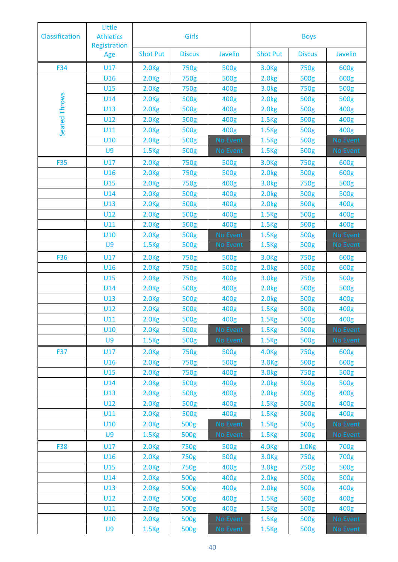| Little<br><b>Athletics</b><br><b>Classification</b><br>Registration |     |                   | Girls         |                | <b>Boys</b>       |                   |          |
|---------------------------------------------------------------------|-----|-------------------|---------------|----------------|-------------------|-------------------|----------|
|                                                                     | Age | <b>Shot Put</b>   | <b>Discus</b> | <b>Javelin</b> | <b>Shot Put</b>   | <b>Discus</b>     | Javelin  |
| F34                                                                 | U17 | 2.0 <sub>kg</sub> | 750g          | 500g           | 3.0 <sub>Kg</sub> | 750g              | 600g     |
|                                                                     | U16 | 2.0 <sub>kg</sub> | 750g          | 500g           | 2.0kg             | 500g              | 600g     |
|                                                                     | U15 | 2.0 <sub>kg</sub> | 750g          | 400g           | 3.0 <sub>kg</sub> | 750g              | 500g     |
| Seated Throws                                                       | U14 | 2.0 <sub>Kg</sub> | 500g          | 400g           | 2.0kg             | 500g              | 500g     |
|                                                                     | U13 | 2.0 <sub>kg</sub> | 500g          | 400g           | 2.0 <sub>kg</sub> | 500g              | 400g     |
|                                                                     | U12 | 2.0 <sub>kg</sub> | 500g          | 400g           | 1.5 <sub>kg</sub> | 500g              | 400g     |
|                                                                     | U11 | 2.0 <sub>kg</sub> | 500g          | 400g           | 1.5 <sub>kg</sub> | 500g              | 400g     |
|                                                                     | U10 | 2.0 <sub>kg</sub> | 500g          | No Event       | 1.5 <sub>kg</sub> | 500g              | No Event |
|                                                                     | U9  | 1.5 <sub>kg</sub> | 500g          | No Event       | 1.5 <sub>kg</sub> | 500g              | No Event |
| <b>F35</b>                                                          | U17 | 2.0 <sub>kg</sub> | 750g          | 500g           | 3.0 <sub>Kg</sub> | 750g              | 600g     |
|                                                                     | U16 | 2.0 <sub>kg</sub> | 750g          | 500g           | 2.0 <sub>kg</sub> | 500g              | 600g     |
|                                                                     | U15 | 2.0 <sub>Kg</sub> | 750g          | 400g           | 3.0 <sub>kg</sub> | 750g              | 500g     |
|                                                                     | U14 | 2.0 <sub>kg</sub> | 500g          | 400g           | 2.0 <sub>kg</sub> | 500g              | 500g     |
|                                                                     | U13 | 2.0 <sub>kg</sub> | 500g          | 400g           | 2.0 <sub>kg</sub> | 500g              | 400g     |
|                                                                     | U12 | 2.0 <sub>kg</sub> | 500g          | 400g           | 1.5 <sub>kg</sub> | 500g              | 400g     |
|                                                                     | U11 | 2.0 <sub>kg</sub> | 500g          | 400g           | 1.5 <sub>kg</sub> | 500g              | 400g     |
|                                                                     | U10 | 2.0 <sub>kg</sub> | 500g          | No Event       | 1.5 <sub>kg</sub> | 500g              | No Event |
|                                                                     | U9  | 1.5 <sub>kg</sub> | 500g          | No Event       | 1.5 <sub>kg</sub> | 500g              | No Event |
| F36                                                                 | U17 | 2.0 <sub>kg</sub> | 750g          | 500g           | 3.0 <sub>Kg</sub> | 750g              | 600g     |
|                                                                     | U16 | 2.0 <sub>kg</sub> | 750g          | 500g           | 2.0 <sub>kg</sub> | 500g              | 600g     |
|                                                                     | U15 | 2.0 <sub>kg</sub> | 750g          | 400g           | 3.0 <sub>kg</sub> | 750g              | 500g     |
|                                                                     | U14 | 2.0 <sub>kg</sub> | 500g          | 400g           | 2.0 <sub>kg</sub> | 500g              | 500g     |
|                                                                     | U13 | 2.0 <sub>kg</sub> | 500g          | 400g           | 2.0kg             | 500g              | 400g     |
|                                                                     | U12 | 2.0 <sub>Kg</sub> | <b>500g</b>   | 400g           | 1.5 <sub>kg</sub> | 500g              | 400g     |
|                                                                     | U11 | 2.0 <sub>kg</sub> | 500g          | 400g           | 1.5 <sub>kg</sub> | 500g              | 400g     |
|                                                                     | U10 | 2.0 <sub>kg</sub> | 500g          | No Event       | 1.5 <sub>kg</sub> | 500g              | No Event |
|                                                                     | U9  | 1.5 <sub>kg</sub> | 500g          | No Event       | 1.5 <sub>kg</sub> | 500g              | No Event |
| F37                                                                 | U17 | 2.0 <sub>kg</sub> | 750g          | 500g           | 4.0 <sub>kg</sub> | 750g              | 600g     |
|                                                                     | U16 | 2.0 <sub>kg</sub> | 750g          | 500g           | 3.0 <sub>kg</sub> | 500g              | 600g     |
|                                                                     | U15 | 2.0 <sub>kg</sub> | 750g          | 400g           | 3.0 <sub>kg</sub> | 750g              | 500g     |
|                                                                     | U14 | 2.0 <sub>kg</sub> | 500g          | 400g           | 2.0 <sub>kg</sub> | 500g              | 500g     |
|                                                                     | U13 | 2.0 <sub>kg</sub> | 500g          | 400g           | 2.0 <sub>kg</sub> | 500g              | 400g     |
|                                                                     | U12 | 2.0 <sub>kg</sub> | 500g          | 400g           | 1.5 <sub>kg</sub> | 500g              | 400g     |
|                                                                     | U11 | 2.0 <sub>kg</sub> | 500g          | 400g           | 1.5 <sub>kg</sub> | 500g              | 400g     |
|                                                                     | U10 | 2.0 <sub>kg</sub> | 500g          | No Event       | 1.5 <sub>kg</sub> | 500g              | No Event |
|                                                                     | U9  | 1.5 <sub>kg</sub> | 500g          | No Event       | 1.5 <sub>kg</sub> | 500g              | No Event |
| F38                                                                 | U17 | 2.0 <sub>kg</sub> | 750g          | 500g           | 4.0 <sub>kg</sub> | 1.0 <sub>kg</sub> | 700g     |
|                                                                     | U16 | 2.0 <sub>kg</sub> | 750g          | 500g           | 3.0 <sub>kg</sub> | 750g              | 700g     |
|                                                                     | U15 | 2.0 <sub>kg</sub> | 750g          | 400g           | 3.0 <sub>kg</sub> | 750g              | 500g     |
|                                                                     | U14 | 2.0 <sub>kg</sub> | 500g          | 400g           | 2.0 <sub>kg</sub> | 500g              | 500g     |
|                                                                     | U13 | 2.0 <sub>kg</sub> | 500g          | 400g           | 2.0 <sub>kg</sub> | 500g              | 400g     |
|                                                                     | U12 | 2.0 <sub>kg</sub> | 500g          | 400g           | 1.5 <sub>kg</sub> | 500g              | 400g     |
|                                                                     | U11 | 2.0 <sub>kg</sub> | 500g          | 400g           | 1.5 <sub>kg</sub> | 500g              | 400g     |
|                                                                     | U10 | 2.0 <sub>kg</sub> | 500g          | No Event       | 1.5 <sub>kg</sub> | 500g              | No Event |
|                                                                     | U9  | 1.5 <sub>kg</sub> | 500g          | No Event       | 1.5 <sub>kg</sub> | 500g              | No Event |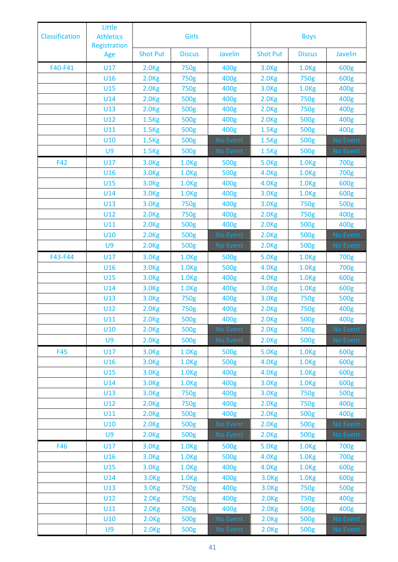| <b>Classification</b> | Little<br><b>Athletics</b><br>Registration |                   | <b>Girls</b>      |                | <b>Boys</b>       |                   |          |
|-----------------------|--------------------------------------------|-------------------|-------------------|----------------|-------------------|-------------------|----------|
|                       | Age                                        | <b>Shot Put</b>   | <b>Discus</b>     | <b>Javelin</b> | <b>Shot Put</b>   | <b>Discus</b>     | Javelin  |
| F40-F41               | U17                                        | 2.0 <sub>kg</sub> | 750g              | 400g           | 3.0 <sub>kg</sub> | 1.0 <sub>kg</sub> | 600g     |
|                       | U16                                        | 2.0 <sub>kg</sub> | 750g              | 400g           | 2.0 <sub>kg</sub> | 750g              | 600g     |
|                       | U15                                        | 2.0 <sub>kg</sub> | 750g              | 400g           | 3.0 <sub>kg</sub> | 1.0 <sub>Kg</sub> | 400g     |
|                       | U14                                        | 2.0 <sub>kg</sub> | 500g              | 400g           | 2.0 <sub>kg</sub> | 750g              | 400g     |
|                       | U13                                        | 2.0 <sub>kg</sub> | 500g              | 400g           | 2.0 <sub>kg</sub> | 750g              | 400g     |
|                       | U12                                        | 1.5 <sub>kg</sub> | 500g              | 400g           | 2.0 <sub>kg</sub> | 500g              | 400g     |
|                       | U11                                        | 1.5 <sub>kg</sub> | 500g              | 400g           | 1.5 <sub>kg</sub> | 500g              | 400g     |
|                       | U10                                        | 1.5 <sub>kg</sub> | 500g              | No Event       | 1.5 <sub>kg</sub> | 500g              | No Event |
|                       | U9                                         | 1.5 <sub>kg</sub> | 500g              | No Event       | 1.5 <sub>kg</sub> | 500g              | No Event |
| F42                   | U17                                        | 3.0 <sub>Kg</sub> | 1.0 <sub>kg</sub> | 500g           | 5.0 <sub>Kg</sub> | 1.0 <sub>Kg</sub> | 700g     |
|                       | U16                                        | 3.0 <sub>Kg</sub> | 1.0 <sub>kg</sub> | 500g           | 4.0 <sub>Kg</sub> | 1.0 <sub>kg</sub> | 700g     |
|                       | U15                                        | 3.0 <sub>Kg</sub> | 1.0 <sub>kg</sub> | 400g           | 4.0 <sub>Kg</sub> | 1.0 <sub>Kg</sub> | 600g     |
|                       | U14                                        | 3.0 <sub>kg</sub> | 1.0 <sub>kg</sub> | 400g           | 3.0 <sub>Kg</sub> | 1.0 <sub>Kg</sub> | 600g     |
|                       | U13                                        | 3.0 <sub>Kg</sub> | 750g              | 400g           | 3.0 <sub>Kg</sub> | 750g              | 500g     |
|                       | U12                                        | 2.0 <sub>kg</sub> | 750g              | 400g           | 2.0 <sub>kg</sub> | 750g              | 400g     |
|                       | U11                                        | 2.0 <sub>kg</sub> | 500g              | 400g           | 2.0 <sub>kg</sub> | 500g              | 400g     |
|                       | U10                                        | 2.0 <sub>kg</sub> | 500g              | No Event       | 2.0 <sub>kg</sub> | 500g              | No Event |
|                       | U9                                         | 2.0 <sub>kg</sub> | 500g              | No Event       | 2.0 <sub>kg</sub> | 500g              | No Event |
| F43-F44               | U17                                        | 3.0 <sub>Kg</sub> | 1.0 <sub>kg</sub> | 500g           | <b>5.0Kg</b>      | 1.0 <sub>kg</sub> | 700g     |
|                       | U16                                        | 3.0 <sub>Kg</sub> | 1.0 <sub>kg</sub> | 500g           | 4.0 <sub>Kg</sub> | 1.0 <sub>kg</sub> | 700g     |
|                       | U15                                        | 3.0 <sub>kg</sub> | 1.0 <sub>kg</sub> | 400g           | <b>4.0Kg</b>      | 1.0 <sub>kg</sub> | 600g     |
|                       | U14                                        | 3.0 <sub>Kg</sub> | 1.0 <sub>kg</sub> | 400g           | 3.0 <sub>Kg</sub> | 1.0 <sub>Kg</sub> | 600g     |
|                       | U13                                        | 3.0 <sub>Kg</sub> | 750g              | 400g           | 3.0 <sub>Kg</sub> | 750g              | 500g     |
|                       | U12                                        | 2.0 <sub>kg</sub> | 750g              | 400g           | 2.0 <sub>kg</sub> | 750g              | 400g     |
|                       | U11                                        | 2.0 <sub>kg</sub> | 500g              | 400g           | 2.0 <sub>kg</sub> | 500g              | 400g     |
|                       | U10                                        | 2.0 <sub>kg</sub> | 500g              | No Event       | 2.0 <sub>kg</sub> | 500g              | No Event |
|                       | U9                                         | 2.0 <sub>kg</sub> | 500g              | No Event       | 2.0 <sub>kg</sub> | 500g              | No Event |
| F45                   | U17                                        | 3.0 <sub>kg</sub> | 1.0 <sub>kg</sub> | 500g           | 5.0 <sub>Kg</sub> | 1.0 <sub>kg</sub> | 600g     |
|                       | U16                                        | 3.0 <sub>kg</sub> | 1.0 <sub>Kg</sub> | 500g           | 4.0 <sub>Kg</sub> | 1.0 <sub>kg</sub> | 600g     |
|                       | U15                                        | 3.0 <sub>kg</sub> | 1.0 <sub>kg</sub> | 400g           | 4.0 <sub>Kg</sub> | 1.0 <sub>kg</sub> | 600g     |
|                       | U14                                        | 3.0 <sub>kg</sub> | 1.0 <sub>kg</sub> | 400g           | 3.0 <sub>kg</sub> | 1.0 <sub>kg</sub> | 600g     |
|                       | U13                                        | 3.0 <sub>kg</sub> | 750g              | 400g           | 3.0 <sub>kg</sub> | 750g              | 500g     |
|                       | U12                                        | 2.0 <sub>kg</sub> | 750g              | 400g           | 2.0 <sub>kg</sub> | 750g              | 400g     |
|                       | U11                                        | 2.0 <sub>kg</sub> | 500g              | 400g           | 2.0 <sub>kg</sub> | 500g              | 400g     |
|                       | U10                                        | 2.0 <sub>kg</sub> | 500g              | No Event       | 2.0 <sub>kg</sub> | 500g              | No Event |
|                       | U9                                         | 2.0 <sub>kg</sub> | 500g              | No Event       | 2.0 <sub>kg</sub> | 500g              | No Event |
| F46                   | U17                                        | 3.0 <sub>kg</sub> | 1.0 <sub>kg</sub> | 500g           | 5.0 <sub>Kg</sub> | 1.0 <sub>kg</sub> | 700g     |
|                       | U16                                        | 3.0 <sub>kg</sub> | 1.0 <sub>kg</sub> | 500g           | 4.0 <sub>Kg</sub> | 1.0 <sub>kg</sub> | 700g     |
|                       | U15                                        | 3.0 <sub>kg</sub> | 1.0 <sub>kg</sub> | 400g           | 4.0 <sub>Kg</sub> | 1.0 <sub>kg</sub> | 600g     |
|                       | U14                                        | 3.0 <sub>kg</sub> | 1.0 <sub>kg</sub> | 400g           | 3.0 <sub>Kg</sub> | 1.0 <sub>kg</sub> | 600g     |
|                       | U13                                        | 3.0 <sub>kg</sub> | 750g              | 400g           | 3.0 <sub>Kg</sub> | 750g              | 500g     |
|                       | U12                                        | 2.0 <sub>kg</sub> | 750g              | 400g           | 2.0 <sub>kg</sub> | 750g              | 400g     |
|                       | U11                                        | 2.0 <sub>kg</sub> | 500g              | 400g           | 2.0 <sub>kg</sub> | 500g              | 400g     |
|                       | U10                                        | 2.0 <sub>kg</sub> | 500g              | No Event       | 2.0 <sub>kg</sub> | 500g              | No Event |
|                       | U9                                         | 2.0 <sub>kg</sub> | 500g              | No Event       | 2.0 <sub>kg</sub> | 500g              | No Event |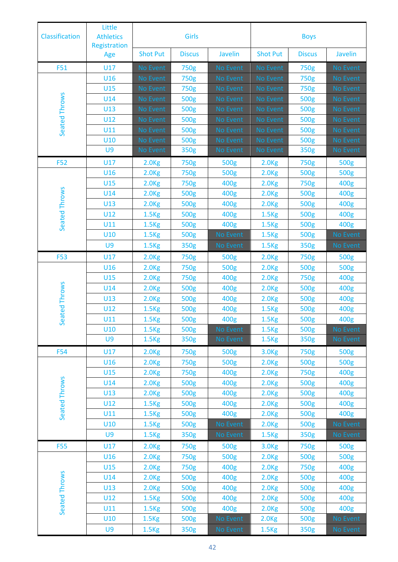| Classification | Little<br><b>Athletics</b><br>Registration |                   | Girls         |                 | <b>Boys</b>       |               |                 |
|----------------|--------------------------------------------|-------------------|---------------|-----------------|-------------------|---------------|-----------------|
|                | Age                                        | <b>Shot Put</b>   | <b>Discus</b> | Javelin         | <b>Shot Put</b>   | <b>Discus</b> | Javelin         |
| <b>F51</b>     | U17                                        | No Event          | 750g          | No Event        | No Event          | 750g          | <b>No Event</b> |
|                | U16                                        | No Event          | 750g          | <b>No Event</b> | No Event          | 750g          | No Event        |
|                | U15                                        | No Event          | 750g          | No Event        | No Event          | 750g          | No Event        |
|                | U14                                        | No Event          | 500g          | No Event        | No Event          | 500g          | No Event        |
|                | U13                                        | No Event          | 500g          | No Event        | No Event          | 500g          | No Event        |
|                | U12                                        | No Event          | 500g          | No Event        | No Event          | 500g          | No Event        |
| Seated Throws  | U11                                        | No Event          | 500g          | <b>No Event</b> | No Event          | 500g          | No Event        |
|                | U10                                        | No Event          | 500g          | No Event        | No Event          | 500g          | No Event        |
|                | U9                                         | No Event          | 350g          | No Event        | No Event          | 350g          | No Event        |
| <b>F52</b>     | U17                                        | 2.0 <sub>kg</sub> | 750g          | 500g            | 2.0 <sub>Kg</sub> | 750g          | 500g            |
|                | U16                                        | 2.0 <sub>kg</sub> | 750g          | 500g            | 2.0 <sub>kg</sub> | 500g          | 500g            |
|                | U15                                        | 2.0 <sub>kg</sub> | 750g          | 400g            | 2.0 <sub>kg</sub> | 750g          | 400g            |
| Seated Throws  | U14                                        | 2.0 <sub>kg</sub> | 500g          | 400g            | 2.0 <sub>kg</sub> | 500g          | 400g            |
|                | U13                                        | 2.0 <sub>kg</sub> | 500g          | 400g            | 2.0 <sub>kg</sub> | 500g          | 400g            |
|                | U12                                        | 1.5 <sub>kg</sub> | 500g          | 400g            | 1.5 <sub>kg</sub> | 500g          | 400g            |
|                | U11                                        | 1.5 <sub>kg</sub> | 500g          | 400g            | 1.5 <sub>kg</sub> | 500g          | 400g            |
|                | U10                                        | 1.5 <sub>kg</sub> | 500g          | No Event        | 1.5 <sub>kg</sub> | 500g          | No Event        |
|                | U <sub>9</sub>                             | 1.5 <sub>kg</sub> | 350g          | No Event        | 1.5 <sub>kg</sub> | 350g          | No Event        |
| <b>F53</b>     | U17                                        | 2.0 <sub>kg</sub> | 750g          | 500g            | 2.0 <sub>kg</sub> | 750g          | 500g            |
|                | U16                                        | 2.0 <sub>kg</sub> | 750g          | 500g            | 2.0 <sub>kg</sub> | 500g          | 500g            |
|                | U15                                        | 2.0 <sub>kg</sub> | 750g          | 400g            | 2.0 <sub>kg</sub> | 750g          | 400g            |
|                | U14                                        | 2.0 <sub>kg</sub> | 500g          | 400g            | 2.0 <sub>kg</sub> | 500g          | 400g            |
|                | U13                                        | 2.0 <sub>kg</sub> | 500g          | 400g            | 2.0 <sub>kg</sub> | 500g          | 400g            |
| ated Throws    | U12                                        | 1.5 <sub>Kg</sub> | 500g          | 400g            | 1.5 <sub>kg</sub> | 500g          | 400g            |
| <b>Se</b>      | U11                                        | 1.5 <sub>kg</sub> | 500g          | 400g            | 1.5 <sub>kg</sub> | 500g          | 400g            |
|                | U10                                        | 1.5 <sub>kg</sub> | 500g          | No Event        | 1.5 <sub>kg</sub> | 500g          | No Event        |
|                | U9                                         | 1.5 <sub>kg</sub> | 350g          | No Event        | 1.5 <sub>kg</sub> | 350g          | No Event        |
| <b>F54</b>     | U17                                        | 2.0 <sub>kg</sub> | 750g          | 500g            | 3.0 <sub>Kg</sub> | 750g          | 500g            |
|                | U16                                        | 2.0 <sub>kg</sub> | 750g          | 500g            | 2.0 <sub>kg</sub> | 500g          | 500g            |
|                | U15                                        | 2.0 <sub>kg</sub> | 750g          | 400g            | 2.0 <sub>kg</sub> | 750g          | 400g            |
|                | U14                                        | 2.0 <sub>kg</sub> | 500g          | 400g            | 2.0 <sub>kg</sub> | 500g          | 400g            |
| Seated Throws  | U13                                        | 2.0 <sub>kg</sub> | 500g          | 400g            | 2.0 <sub>kg</sub> | 500g          | 400g            |
|                | U12                                        | 1.5 <sub>kg</sub> | 500g          | 400g            | 2.0 <sub>kg</sub> | 500g          | 400g            |
|                | U11                                        | 1.5 <sub>kg</sub> | 500g          | 400g            | 2.0 <sub>kg</sub> | 500g          | 400g            |
|                | U10                                        | 1.5 <sub>kg</sub> | 500g          | No Event        | 2.0 <sub>kg</sub> | 500g          | No Event        |
|                | U9                                         | 1.5 <sub>kg</sub> | 350g          | No Event        | 1.5 <sub>kg</sub> | 350g          | No Event        |
| <b>F55</b>     | U17                                        | 2.0 <sub>kg</sub> | 750g          | 500g            | 3.0 <sub>Kg</sub> | 750g          | 500g            |
|                | U16                                        | 2.0 <sub>kg</sub> | 750g          | 500g            | 2.0 <sub>kg</sub> | 500g          | 500g            |
|                | U15                                        | 2.0 <sub>kg</sub> | 750g          | 400g            | 2.0 <sub>kg</sub> | 750g          | 400g            |
| Seated Throws  | U14                                        | 2.0 <sub>kg</sub> | 500g          | 400g            | 2.0 <sub>kg</sub> | 500g          | 400g            |
|                | U13                                        | 2.0 <sub>kg</sub> | 500g          | 400g            | 2.0 <sub>kg</sub> | 500g          | 400g            |
|                | U12                                        | 1.5 <sub>kg</sub> | 500g          | 400g            | 2.0 <sub>kg</sub> | 500g          | 400g            |
|                | U11                                        | 1.5 <sub>kg</sub> | 500g          | 400g            | 2.0 <sub>kg</sub> | 500g          | 400g            |
|                | U10                                        | 1.5 <sub>kg</sub> | 500g          | No Event        | 2.0 <sub>kg</sub> | 500g          | No Event        |
|                | U9                                         | 1.5 <sub>kg</sub> | 350g          | No Event        | 1.5 <sub>kg</sub> | 350g          | No Event        |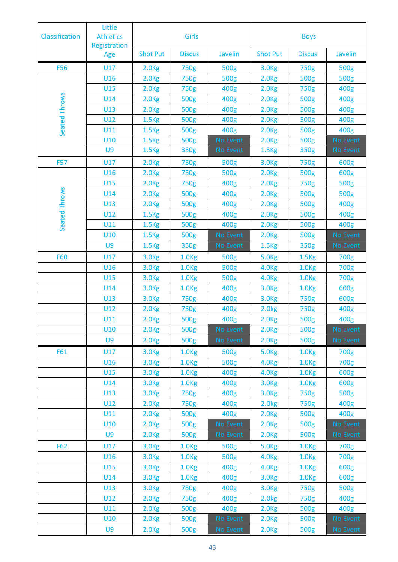| Little<br><b>Athletics</b><br><b>Classification</b><br>Registration |            |                   | Girls             |                      | <b>Boys</b>       |                   |                  |
|---------------------------------------------------------------------|------------|-------------------|-------------------|----------------------|-------------------|-------------------|------------------|
|                                                                     | Age        | <b>Shot Put</b>   | <b>Discus</b>     | Javelin              | <b>Shot Put</b>   | <b>Discus</b>     | Javelin          |
| <b>F56</b>                                                          | U17        | 2.0 <sub>kg</sub> | 750g              | 500g                 | 3.0 <sub>kg</sub> | 750g              | 500g             |
|                                                                     | U16        | 2.0 <sub>kg</sub> | 750g              | 500g                 | 2.0 <sub>kg</sub> | 500g              | 500g             |
|                                                                     | U15        | 2.0 <sub>kg</sub> | 750g              | 400g                 | 2.0 <sub>kg</sub> | 750g              | 400g             |
|                                                                     | U14        | 2.0 <sub>Kg</sub> | 500g              | 400g                 | 2.0 <sub>kg</sub> | 500g              | 400g             |
|                                                                     | U13        | 2.0 <sub>kg</sub> | 500g              | 400g                 | 2.0 <sub>kg</sub> | 500g              | 400g             |
|                                                                     | U12        | 1.5 <sub>kg</sub> | 500g              | 400g                 | 2.0 <sub>kg</sub> | 500g              | 400g             |
| Seated Throws                                                       | U11        | 1.5 <sub>kg</sub> | 500g              | 400g                 | 2.0 <sub>kg</sub> | 500g              | 400g             |
|                                                                     | U10        | 1.5 <sub>kg</sub> | 500g              | <b>No Event</b>      | 2.0 <sub>kg</sub> | 500g              | No Event         |
|                                                                     | U9         | 1.5 <sub>kg</sub> | 350g              | No Event             | 1.5 <sub>kg</sub> | 350g              | No Event         |
| <b>F57</b>                                                          | U17        | 2.0 <sub>kg</sub> | 750g              | 500g                 | 3.0 <sub>Kg</sub> | 750g              | 600g             |
|                                                                     | U16        | 2.0 <sub>kg</sub> | 750g              | 500g                 | 2.0 <sub>kg</sub> | 500g              | 600g             |
|                                                                     | U15        | 2.0 <sub>kg</sub> | 750g              | 400g                 | 2.0 <sub>kg</sub> | 750g              | 500g             |
| Seated Throws                                                       | U14        | 2.0 <sub>kg</sub> | 500g              | 400g                 | 2.0 <sub>kg</sub> | 500g              | 500g             |
|                                                                     | U13        | 2.0 <sub>kg</sub> | 500g              | 400g                 | 2.0 <sub>kg</sub> | 500g              | 400g             |
|                                                                     | U12        | 1.5 <sub>kg</sub> | 500g              | 400g                 | 2.0 <sub>kg</sub> | 500g              | 400g             |
|                                                                     | U11        | 1.5 <sub>kg</sub> | 500g              | 400g                 | 2.0 <sub>kg</sub> | 500g              | 400g             |
|                                                                     | U10        | 1.5 <sub>kg</sub> | 500g              | No Event             | 2.0 <sub>kg</sub> | 500g              | No Event         |
|                                                                     | U9         | 1.5 <sub>kg</sub> | 350g              | No Event             | 1.5 <sub>kg</sub> | 350g              | No Event         |
| <b>F60</b>                                                          | U17        | 3.0 <sub>Kg</sub> | 1.0 <sub>kg</sub> | 500g                 | <b>5.0Kg</b>      | 1.5 <sub>kg</sub> | 700g             |
|                                                                     | U16        | 3.0 <sub>Kg</sub> | 1.0 <sub>kg</sub> | 500g                 | 4.0 <sub>Kg</sub> | 1.0 <sub>kg</sub> | 700g             |
|                                                                     | U15        | 3.0 <sub>kg</sub> | 1.0 <sub>kg</sub> | 500g                 | 4.0 <sub>Kg</sub> | 1.0 <sub>kg</sub> | 700g             |
|                                                                     | U14        | 3.0 <sub>kg</sub> | 1.0 <sub>kg</sub> | 400g                 | 3.0 <sub>Kg</sub> | 1.0 <sub>Kg</sub> | 600g             |
|                                                                     | U13        | 3.0 <sub>kg</sub> | 750g              | 400g                 | 3.0 <sub>kg</sub> | 750g              | 600g             |
|                                                                     | U12        | 2.0 <sub>Kg</sub> | 750g              | 400g                 | 2.0 <sub>kg</sub> | 750g              | 400g             |
|                                                                     | U11        | 2.0 <sub>kg</sub> | 500g              | 400g                 | 2.0 <sub>kg</sub> | 500g              | 400g             |
|                                                                     | U10        | 2.0 <sub>kg</sub> | 500g              | No Event             | 2.0 <sub>kg</sub> | 500g              | No Event         |
|                                                                     | U9         | 2.0 <sub>kg</sub> | 500g              | No Event             | 2.0 <sub>kg</sub> | 500g              | No Event         |
| F61                                                                 | U17        | 3.0 <sub>kg</sub> | 1.0 <sub>kg</sub> | 500g                 | 5.0 <sub>kg</sub> | 1.0 <sub>Kg</sub> | 700g             |
|                                                                     | U16        | 3.0 <sub>kg</sub> | 1.0 <sub>kg</sub> | 500g                 | 4.0 <sub>Kg</sub> | 1.0 <sub>kg</sub> | 700g             |
|                                                                     | U15        | 3.0 <sub>kg</sub> | 1.0 <sub>kg</sub> | 400g                 | 4.0 <sub>Kg</sub> | 1.0 <sub>kg</sub> | 600g             |
|                                                                     | U14        | 3.0 <sub>kg</sub> | 1.0 <sub>Kg</sub> | 400g                 | 3.0 <sub>kg</sub> | 1.0 <sub>kg</sub> | 600g             |
|                                                                     | U13        | 3.0 <sub>kg</sub> | 750g              | 400g                 | 3.0 <sub>kg</sub> | 750g              | 500g             |
|                                                                     | U12        | 2.0 <sub>kg</sub> | 750g              | 400g                 | 2.0 <sub>kg</sub> | 750g              | 400g             |
|                                                                     | U11        | 2.0 <sub>kg</sub> | 500g              | 400g                 | 2.0 <sub>kg</sub> | 500g              | 400g             |
|                                                                     | U10        | 2.0 <sub>kg</sub> | 500g              | No Event             | 2.0 <sub>kg</sub> | 500g              | No Event         |
|                                                                     | U9         | 2.0 <sub>kg</sub> | 500g              | No Event             | 2.0 <sub>kg</sub> | 500g              | No Event         |
| F62                                                                 | U17        | 3.0 <sub>kg</sub> | 1.0 <sub>kg</sub> | 500g                 | 5.0 <sub>Kg</sub> | 1.0 <sub>kg</sub> | 700g             |
|                                                                     | U16        | 3.0 <sub>kg</sub> | 1.0 <sub>kg</sub> | 500g                 | 4.0 <sub>Kg</sub> | 1.0 <sub>Kg</sub> | 700g             |
|                                                                     | U15        | 3.0 <sub>kg</sub> | 1.0 <sub>kg</sub> | 400g                 | 4.0 <sub>Kg</sub> | 1.0 <sub>kg</sub> | 600g             |
|                                                                     | U14<br>U13 | 3.0 <sub>kg</sub> | 1.0 <sub>kg</sub> | 400g<br>400g         | 3.0 <sub>kg</sub> | 1.0 <sub>kg</sub> | 600g             |
|                                                                     | U12        | 3.0 <sub>kg</sub> | 750g              |                      | 3.0 <sub>Kg</sub> | 750g              | 500g<br>400g     |
|                                                                     | U11        | 2.0 <sub>kg</sub> | 750g              | 400g                 | 2.0 <sub>kg</sub> | 750g              |                  |
|                                                                     | U10        | 2.0 <sub>kg</sub> | 500g<br>500g      | 400g                 | 2.0 <sub>kg</sub> | 500g<br>500g      | 400g<br>No Event |
|                                                                     | U9         | 2.0 <sub>kg</sub> | 500g              | No Event<br>No Event | 2.0 <sub>kg</sub> | 500g              | No Event         |
|                                                                     |            | 2.0 <sub>kg</sub> |                   |                      | 2.0 <sub>kg</sub> |                   |                  |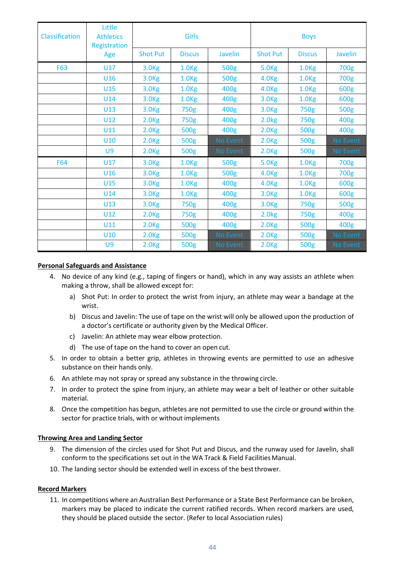| Classification | Little<br><b>Athletics</b><br>Registration |                   | <b>Girls</b>      |                | <b>Boys</b>       |                   |          |
|----------------|--------------------------------------------|-------------------|-------------------|----------------|-------------------|-------------------|----------|
|                | Age                                        | <b>Shot Put</b>   | <b>Discus</b>     | <b>Javelin</b> | <b>Shot Put</b>   | <b>Discus</b>     | Javelin  |
| <b>F63</b>     | U17                                        | 3.0 <sub>kg</sub> | 1.0 <sub>kg</sub> | 500g           | 5.0 <sub>Kg</sub> | 1.0 <sub>kg</sub> | 700g     |
|                | U16                                        | 3.0 <sub>Kg</sub> | 1.0 <sub>kg</sub> | 500g           | 4.0 <sub>Kg</sub> | 1.0 <sub>kg</sub> | 700g     |
|                | U15                                        | 3.0 <sub>kg</sub> | 1.0 <sub>kg</sub> | 400g           | 4.0 <sub>Kg</sub> | 1.0 <sub>Kg</sub> | 600g     |
|                | U14                                        | 3.0 <sub>kg</sub> | 1.0 <sub>kg</sub> | 400g           | 3.0 <sub>Kg</sub> | 1.0 <sub>kg</sub> | 600g     |
|                | U13                                        | 3.0 <sub>Kg</sub> | 750g              | 400g           | 3.0 <sub>Kg</sub> | 750g              | 500g     |
|                | U12                                        | 2.0 <sub>kg</sub> | 750g              | 400g           | 2.0 <sub>kg</sub> | 750g              | 400g     |
|                | U11                                        | 2.0 <sub>Kg</sub> | 500g              | 400g           | 2.0 <sub>Kg</sub> | 500g              | 400g     |
|                | <b>U10</b>                                 | 2.0 <sub>kg</sub> | 500g              | No Event       | 2.0 <sub>kg</sub> | 500g              | No Event |
|                | U9                                         | 2.0 <sub>kg</sub> | 500g              | No Event       | 2.0 <sub>kg</sub> | 500g              | No Event |
| <b>F64</b>     | U17                                        | 3.0 <sub>kg</sub> | 1.0 <sub>kg</sub> | 500g           | 5.0 <sub>Kg</sub> | 1.0 <sub>kg</sub> | 700g     |
|                | U16                                        | 3.0 <sub>kg</sub> | 1.0 <sub>kg</sub> | 500g           | 4.0 <sub>kg</sub> | 1.0 <sub>kg</sub> | 700g     |
|                | U15                                        | 3.0 <sub>Kg</sub> | 1.0 <sub>kg</sub> | 400g           | 4.0 <sub>Kg</sub> | 1.0 <sub>Kg</sub> | 600g     |
|                | U14                                        | 3.0 <sub>kg</sub> | 1.0 <sub>kg</sub> | 400g           | 3.0 <sub>Kg</sub> | 1.0 <sub>kg</sub> | 600g     |
|                | U13                                        | 3.0 <sub>kg</sub> | 750g              | 400g           | 3.0 <sub>Kg</sub> | 750g              | 500g     |
|                | U12                                        | 2.0 <sub>kg</sub> | 750g              | 400g           | 2.0 <sub>kg</sub> | 750g              | 400g     |
|                | U11                                        | 2.0 <sub>kg</sub> | 500g              | 400g           | 2.0 <sub>kg</sub> | 500g              | 400g     |
|                | U10                                        | 2.0 <sub>kg</sub> | 500g              | No Event       | 2.0 <sub>kg</sub> | 500g              | No Event |
|                | U9                                         | 2.0 <sub>kg</sub> | 500g              | No Event       | 2.0 <sub>kg</sub> | 500g              | No Event |

#### **Personal Safeguards and Assistance**

- 4. No device of any kind (e.g., taping of fingers or hand), which in any way assists an athlete when making a throw, shall be allowed except for:
	- a) Shot Put: In order to protect the wrist from injury, an athlete may wear a bandage at the wrist.
	- b) Discus and Javelin: The use of tape on the wrist will only be allowed upon the production of a doctor's certificate or authority given by the Medical Officer.
	- c) Javelin: An athlete may wear elbow protection.
	- d) The use of tape on the hand to cover an open cut.
- 5. In order to obtain a better grip, athletes in throwing events are permitted to use an adhesive substance on their hands only.
- 6. An athlete may not spray or spread any substance in the throwing circle.
- 7. In order to protect the spine from injury, an athlete may wear a belt of leather or other suitable material.
- 8. Once the competition has begun, athletes are not permitted to use the circle or ground within the sector for practice trials, with or without implements

#### **Throwing Area and Landing Sector**

- 9. The dimension of the circles used for Shot Put and Discus, and the runway used for Javelin, shall conform to the specifications set out in the WA Track & Field FacilitiesManual.
- 10. The landing sector should be extended well in excess of the bestthrower.

#### **Record Markers**

11. In competitions where an Australian Best Performance or a State Best Performance can be broken, markers may be placed to indicate the current ratified records. When record markers are used, they should be placed outside the sector. (Refer to local Association rules)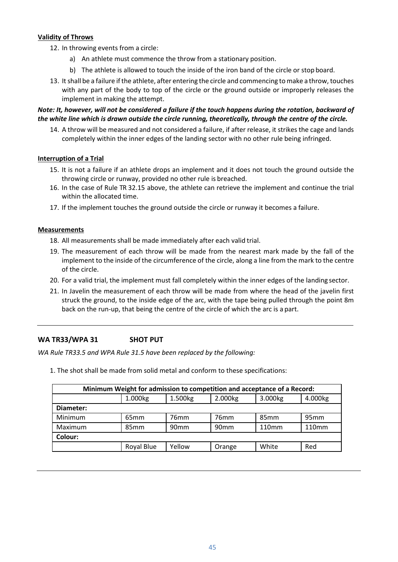#### **Validity of Throws**

- 12. In throwing events from a circle:
	- a) An athlete must commence the throw from a stationary position.
	- b) The athlete is allowed to touch the inside of the iron band of the circle or stop board.
- 13. It shall be a failure if the athlete, after entering the circle and commencing to make a throw, touches with any part of the body to top of the circle or the ground outside or improperly releases the implement in making the attempt.

#### *Note: It, however, will not be considered a failure if the touch happens during the rotation, backward of the white line which is drawn outside the circle running, theoretically, through the centre of the circle.*

14. A throw will be measured and not considered a failure, if after release, it strikes the cage and lands completely within the inner edges of the landing sector with no other rule being infringed.

#### **Interruption of a Trial**

- 15. It is not a failure if an athlete drops an implement and it does not touch the ground outside the throwing circle or runway, provided no other rule is breached.
- 16. In the case of Rule TR 32.15 above, the athlete can retrieve the implement and continue the trial within the allocated time.
- 17. If the implement touches the ground outside the circle or runway it becomes a failure.

#### **Measurements**

- 18. All measurements shall be made immediately after each valid trial.
- 19. The measurement of each throw will be made from the nearest mark made by the fall of the implement to the inside of the circumference of the circle, along a line from the mark to the centre of the circle.
- 20. For a valid trial, the implement must fall completely within the inner edges of the landing sector.
- 21. In Javelin the measurement of each throw will be made from where the head of the javelin first struck the ground, to the inside edge of the arc, with the tape being pulled through the point 8m back on the run-up, that being the centre of the circle of which the arc is a part.

#### <span id="page-44-0"></span>**WA TR33/WPA 31 SHOT PUT**

*WA Rule TR33.5 and WPA Rule 31.5 have been replaced by the following:*

1. The shot shall be made from solid metal and conform to these specifications:

| Minimum Weight for admission to competition and acceptance of a Record: |                  |                  |                  |                   |                   |  |  |  |  |  |
|-------------------------------------------------------------------------|------------------|------------------|------------------|-------------------|-------------------|--|--|--|--|--|
|                                                                         | 1.000kg          | 1.500kg          | 2.000kg          | 3.000kg           | 4.000kg           |  |  |  |  |  |
| Diameter:                                                               |                  |                  |                  |                   |                   |  |  |  |  |  |
| Minimum                                                                 | 65 <sub>mm</sub> | 76 <sub>mm</sub> | 76 <sub>mm</sub> | 85 <sub>mm</sub>  | 95mm              |  |  |  |  |  |
| Maximum                                                                 | 85 <sub>mm</sub> | 90 <sub>mm</sub> | 90 <sub>mm</sub> | 110 <sub>mm</sub> | 110 <sub>mm</sub> |  |  |  |  |  |
| Colour:                                                                 |                  |                  |                  |                   |                   |  |  |  |  |  |
| Royal Blue<br>Yellow<br>White<br>Red<br>Orange                          |                  |                  |                  |                   |                   |  |  |  |  |  |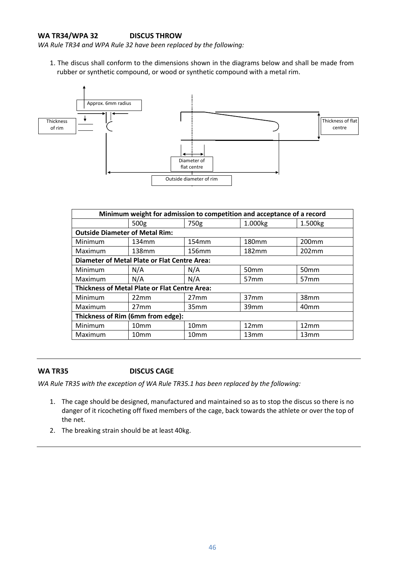#### <span id="page-45-0"></span>**WA TR34/WPA 32 DISCUS THROW**

*WA Rule TR34 and WPA Rule 32 have been replaced by the following:*

1. The discus shall conform to the dimensions shown in the diagrams below and shall be made from rubber or synthetic compound, or wood or synthetic compound with a metal rim.



|                                                     | Minimum weight for admission to competition and acceptance of a record |                  |                   |                   |  |  |  |  |  |  |
|-----------------------------------------------------|------------------------------------------------------------------------|------------------|-------------------|-------------------|--|--|--|--|--|--|
|                                                     | 500g                                                                   | 750g             | 1.000kg           | 1.500kg           |  |  |  |  |  |  |
| <b>Outside Diameter of Metal Rim:</b>               |                                                                        |                  |                   |                   |  |  |  |  |  |  |
| Minimum                                             | 134mm                                                                  | 154mm            | 180 <sub>mm</sub> | 200 <sub>mm</sub> |  |  |  |  |  |  |
| Maximum                                             | 138mm                                                                  | 156mm            | 182mm             | 202mm             |  |  |  |  |  |  |
| <b>Diameter of Metal Plate or Flat Centre Area:</b> |                                                                        |                  |                   |                   |  |  |  |  |  |  |
| Minimum                                             | N/A                                                                    | N/A              | 50 <sub>mm</sub>  | 50mm              |  |  |  |  |  |  |
| Maximum                                             | N/A                                                                    | N/A              | 57 <sub>mm</sub>  | 57 <sub>mm</sub>  |  |  |  |  |  |  |
|                                                     | <b>Thickness of Metal Plate or Flat Centre Area:</b>                   |                  |                   |                   |  |  |  |  |  |  |
| Minimum                                             | 22mm                                                                   | 27 <sub>mm</sub> | 37mm              | 38mm              |  |  |  |  |  |  |
| Maximum                                             | 27mm                                                                   | 35mm             | 39 <sub>mm</sub>  | 40 <sub>mm</sub>  |  |  |  |  |  |  |
| Thickness of Rim (6mm from edge):                   |                                                                        |                  |                   |                   |  |  |  |  |  |  |
| Minimum                                             | 10 <sub>mm</sub>                                                       | 10 <sub>mm</sub> | 12mm              | 12mm              |  |  |  |  |  |  |
| Maximum                                             | 10 <sub>mm</sub>                                                       | 10mm             | 13mm              | 13mm              |  |  |  |  |  |  |

#### <span id="page-45-1"></span>**WA TR35 DISCUS CAGE**

*WA Rule TR35 with the exception of WA Rule TR35.1 has been replaced by the following:*

- 1. The cage should be designed, manufactured and maintained so as to stop the discus so there is no danger of it ricocheting off fixed members of the cage, back towards the athlete or over the top of the net.
- 2. The breaking strain should be at least 40kg.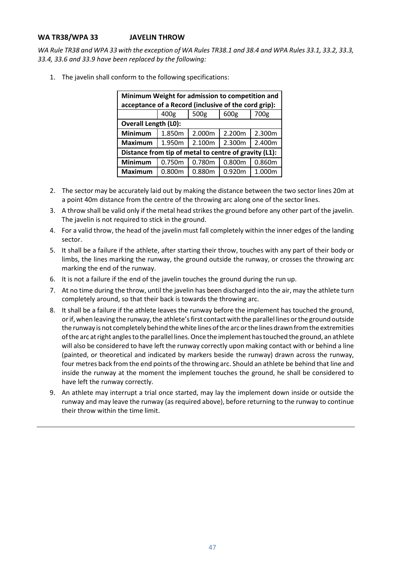#### <span id="page-46-0"></span>**WA TR38/WPA 33 JAVELIN THROW**

*WA Rule TR38 and WPA 33 with the exception of WA Rules TR38.1 and 38.4 and WPA Rules 33.1, 33.2, 33.3, 33.4, 33.6 and 33.9 have been replaced by the following:*

1. The javelin shall conform to the following specifications:

| Minimum Weight for admission to competition and       |        |        |        |        |
|-------------------------------------------------------|--------|--------|--------|--------|
| acceptance of a Record (inclusive of the cord grip):  |        |        |        |        |
|                                                       | 400g   | 500g   | 600g   | 700g   |
| <b>Overall Length (L0):</b>                           |        |        |        |        |
| Minimum                                               | 1.850m | 2.000m | 2.200m | 2.300m |
| <b>Maximum</b>                                        | 1.950m | 2.100m | 2.300m | 2.400m |
| Distance from tip of metal to centre of gravity (L1): |        |        |        |        |
| <b>Minimum</b>                                        | 0.750m | 0.780m | 0.800m | 0.860m |
| <b>Maximum</b>                                        | 0.800m | 0.880m | 0.920m | 1.000m |

- 2. The sector may be accurately laid out by making the distance between the two sector lines 20m at a point 40m distance from the centre of the throwing arc along one of the sector lines.
- 3. A throw shall be valid only if the metal head strikes the ground before any other part of the javelin. The javelin is not required to stick in the ground.
- 4. For a valid throw, the head of the javelin must fall completely within the inner edges of the landing sector.
- 5. It shall be a failure if the athlete, after starting their throw, touches with any part of their body or limbs, the lines marking the runway, the ground outside the runway, or crosses the throwing arc marking the end of the runway.
- 6. It is not a failure if the end of the javelin touches the ground during the run up.
- 7. At no time during the throw, until the javelin has been discharged into the air, may the athlete turn completely around, so that their back is towards the throwing arc.
- 8. It shall be a failure if the athlete leaves the runway before the implement has touched the ground, or if, when leaving the runway, the athlete's first contact with the parallel lines or the ground outside the runway is not completely behind the white lines of the arc or the lines drawn from the extremities ofthe arc atright anglestothe parallel lines.Once the implement hastouched theground, an athlete will also be considered to have left the runway correctly upon making contact with or behind a line (painted, or theoretical and indicated by markers beside the runway) drawn across the runway, four metres back from the end points of the throwing arc. Should an athlete be behind that line and inside the runway at the moment the implement touches the ground, he shall be considered to have left the runway correctly.
- 9. An athlete may interrupt a trial once started, may lay the implement down inside or outside the runway and may leave the runway (as required above), before returning to the runway to continue their throw within the time limit.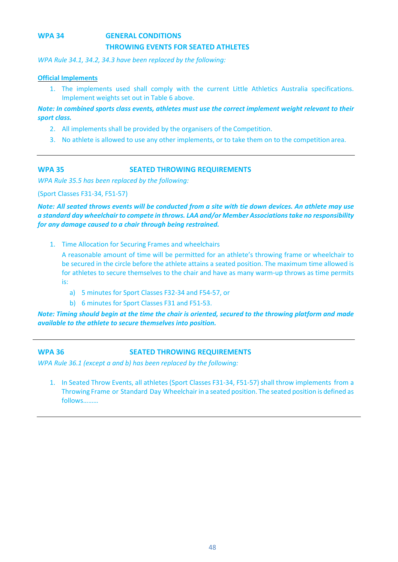### <span id="page-47-0"></span>**WPA 34 GENERAL CONDITIONS THROWING EVENTS FOR SEATED ATHLETES**

*WPA Rule 34.1, 34.2, 34.3 have been replaced by the following:*

#### **Official Implements**

1. The implements used shall comply with the current Little Athletics Australia specifications. Implement weights set out in Table 6 above.

*Note: In combined sports class events, athletes must use the correct implement weight relevant to their sport class.*

- 2. All implements shall be provided by the organisers of the Competition.
- 3. No athlete is allowed to use any other implements, or to take them on to the competition area.

#### <span id="page-47-1"></span>**WPA 35 SEATED THROWING REQUIREMENTS**

*WPA Rule 35.5 has been replaced by the following:* 

(Sport Classes F31-34, F51-57)

*Note: All seated throws events will be conducted from a site with tie down devices. An athlete may use a standard day wheelchair to compete in throws. LAA and/or Member Associations take no responsibility for any damage caused to a chair through being restrained.*

1. Time Allocation for Securing Frames and wheelchairs

A reasonable amount of time will be permitted for an athlete's throwing frame or wheelchair to be secured in the circle before the athlete attains a seated position. The maximum time allowed is for athletes to secure themselves to the chair and have as many warm-up throws as time permits is:

- a) 5 minutes for Sport Classes F32-34 and F54-57, or
- b) 6 minutes for Sport Classes F31 and F51-53.

*Note: Timing should begin at the time the chair is oriented, secured to the throwing platform and made available to the athlete to secure themselves into position.*

#### <span id="page-47-2"></span>**WPA 36 SEATED THROWING REQUIREMENTS**

*WPA Rule 36.1 (except a and b) has been replaced by the following:* 

1. In Seated Throw Events, all athletes (Sport Classes F31-34, F51-57) shall throw implements from a Throwing Frame or Standard Day Wheelchair in a seated position. The seated position is defined as follows………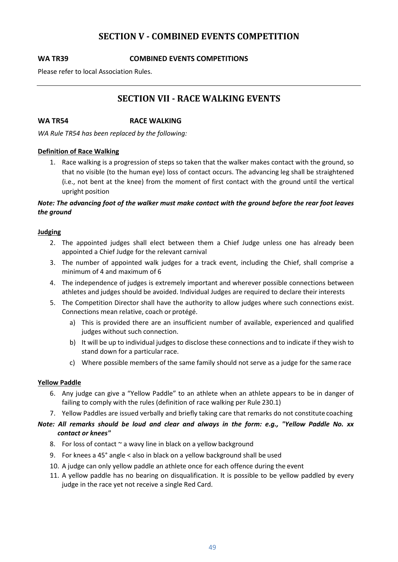#### **SECTION V - COMBINED EVENTS COMPETITION**

#### <span id="page-48-1"></span><span id="page-48-0"></span>**WA TR39 COMBINED EVENTS COMPETITIONS**

<span id="page-48-2"></span>Please refer to local Association Rules.

#### **SECTION VII - RACE WALKING EVENTS**

<span id="page-48-3"></span>**WA TR54 RACE WALKING**

*WA Rule TR54 has been replaced by the following:*

#### **Definition of Race Walking**

1. Race walking is a progression of steps so taken that the walker makes contact with the ground, so that no visible (to the human eye) loss of contact occurs. The advancing leg shall be straightened (i.e., not bent at the knee) from the moment of first contact with the ground until the vertical upright position

#### *Note: The advancing foot of the walker must make contact with the ground before the rear foot leaves the ground*

#### **Judging**

- 2. The appointed judges shall elect between them a Chief Judge unless one has already been appointed a Chief Judge for the relevant carnival
- 3. The number of appointed walk judges for a track event, including the Chief, shall comprise a minimum of 4 and maximum of 6
- 4. The independence of judges is extremely important and wherever possible connections between athletes and judges should be avoided. Individual Judges are required to declare their interests
- 5. The Competition Director shall have the authority to allow judges where such connections exist. Connections mean relative, coach or protégé.
	- a) This is provided there are an insufficient number of available, experienced and qualified judges without such connection.
	- b) It will be up to individual judges to disclose these connections and to indicate if they wish to stand down for a particular race.
	- c) Where possible members of the same family should not serve as a judge for the same race

#### **Yellow Paddle**

- 6. Any judge can give a "Yellow Paddle" to an athlete when an athlete appears to be in danger of failing to comply with the rules (definition of race walking per Rule 230.1)
- 7. Yellow Paddles are issued verbally and briefly taking care that remarks do not constitute coaching

#### *Note: All remarks should be loud and clear and always in the form: e.g., "Yellow Paddle No. xx contact or knees"*

- 8. For loss of contact  $\sim$  a wavy line in black on a yellow background
- 9. For knees a 45° angle < also in black on a yellow background shall be used
- 10. A judge can only yellow paddle an athlete once for each offence during the event
- 11. A yellow paddle has no bearing on disqualification. It is possible to be yellow paddled by every judge in the race yet not receive a single Red Card.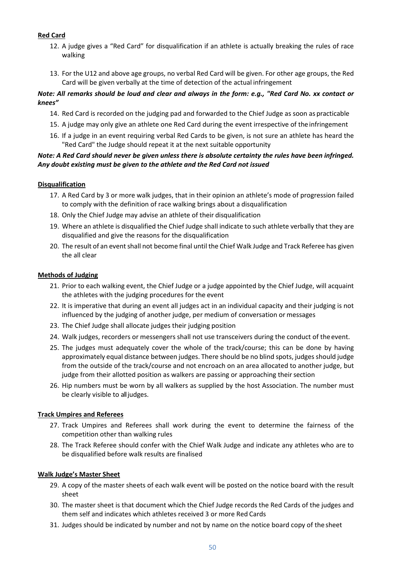#### **Red Card**

- 12. A judge gives a "Red Card" for disqualification if an athlete is actually breaking the rules of race walking
- 13. For the U12 and above age groups, no verbal Red Card will be given. For other age groups, the Red Card will be given verbally at the time of detection of the actual infringement

#### *Note: All remarks should be loud and clear and always in the form: e.g., "Red Card No. xx contact or knees"*

- 14. Red Card is recorded on the judging pad and forwarded to the Chief Judge as soon as practicable
- 15. A judge may only give an athlete one Red Card during the event irrespective of theinfringement
- 16. If a judge in an event requiring verbal Red Cards to be given, is not sure an athlete has heard the "Red Card" the Judge should repeat it at the next suitable opportunity

#### *Note: A Red Card should never be given unless there is absolute certainty the rules have been infringed. Any doubt existing must be given to the athlete and the Red Card not issued*

#### **Disqualification**

- 17. A Red Card by 3 or more walk judges, that in their opinion an athlete's mode of progression failed to comply with the definition of race walking brings about a disqualification
- 18. Only the Chief Judge may advise an athlete of their disqualification
- 19. Where an athlete is disqualified the Chief Judge shall indicate to such athlete verbally that they are disqualified and give the reasons for the disqualification
- 20. The result of an event shall not become final until the Chief Walk Judge and Track Referee has given the all clear

#### **Methods of Judging**

- 21. Prior to each walking event, the Chief Judge or a judge appointed by the Chief Judge, will acquaint the athletes with the judging procedures for the event
- 22. It is imperative that during an event all judges act in an individual capacity and their judging is not influenced by the judging of another judge, per medium of conversation or messages
- 23. The Chief Judge shall allocate judges their judging position
- 24. Walk judges, recorders or messengers shall not use transceivers during the conduct of theevent.
- 25. The judges must adequately cover the whole of the track/course; this can be done by having approximately equal distance between judges. There should be no blind spots, judges should judge from the outside of the track/course and not encroach on an area allocated to another judge, but judge from their allotted position as walkers are passing or approaching their section
- 26. Hip numbers must be worn by all walkers as supplied by the host Association. The number must be clearly visible to all judges.

#### **Track Umpires and Referees**

- 27. Track Umpires and Referees shall work during the event to determine the fairness of the competition other than walking rules
- 28. The Track Referee should confer with the Chief Walk Judge and indicate any athletes who are to be disqualified before walk results are finalised

#### **Walk Judge's Master Sheet**

- 29. A copy of the master sheets of each walk event will be posted on the notice board with the result sheet
- 30. The master sheet is that document which the Chief Judge records the Red Cards of the judges and them self and indicates which athletes received 3 or more Red Cards
- 31. Judges should be indicated by number and not by name on the notice board copy of the sheet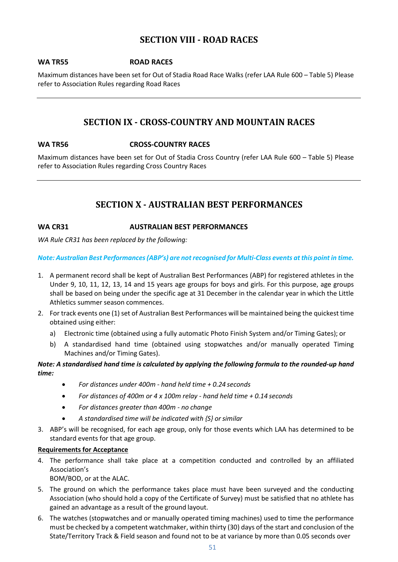#### **SECTION VIII - ROAD RACES**

#### <span id="page-50-1"></span><span id="page-50-0"></span>**WA TR55 ROAD RACES**

Maximum distances have been set for Out of Stadia Road Race Walks (refer LAA Rule 600 – Table 5) Please refer to Association Rules regarding Road Races

#### **SECTION IX - CROSS-COUNTRY AND MOUNTAIN RACES**

#### <span id="page-50-3"></span><span id="page-50-2"></span>**WA TR56 CROSS-COUNTRY RACES**

Maximum distances have been set for Out of Stadia Cross Country (refer LAA Rule 600 – Table 5) Please refer to Association Rules regarding Cross Country Races

### **SECTION X - AUSTRALIAN BEST PERFORMANCES**

#### <span id="page-50-5"></span><span id="page-50-4"></span>**WA CR31 AUSTRALIAN BEST PERFORMANCES**

*WA Rule CR31 has been replaced by the following:*

*Note: Australian Best Performances (ABP's) are not recognised for Multi-Class events at this point in time.*

- 1. A permanent record shall be kept of Australian Best Performances (ABP) for registered athletes in the Under 9, 10, 11, 12, 13, 14 and 15 years age groups for boys and girls. For this purpose, age groups shall be based on being under the specific age at 31 December in the calendar year in which the Little Athletics summer season commences.
- 2. For track events one (1) set of Australian Best Performances will be maintained being the quickest time obtained using either:
	- a) Electronic time (obtained using a fully automatic Photo Finish System and/or Timing Gates); or
	- b) A standardised hand time (obtained using stopwatches and/or manually operated Timing Machines and/or Timing Gates).

#### *Note: A standardised hand time is calculated by applying the following formula to the rounded-up hand time:*

- *For distances under 400m - hand held time + 0.24 seconds*
- *For distances of 400m or 4 x 100m relay - hand held time + 0.14 seconds*
- *For distances greater than 400m - no change*
- *A standardised time will be indicated with {S} orsimilar*
- 3. ABP's will be recognised, for each age group, only for those events which LAA has determined to be standard events for that age group.

#### **Requirements for Acceptance**

4. The performance shall take place at a competition conducted and controlled by an affiliated Association's

BOM/BOD, or at the ALAC.

- 5. The ground on which the performance takes place must have been surveyed and the conducting Association (who should hold a copy of the Certificate of Survey) must be satisfied that no athlete has gained an advantage as a result of the ground layout.
- 6. The watches (stopwatches and or manually operated timing machines) used to time the performance must be checked by a competent watchmaker, within thirty (30) days of the start and conclusion of the State/Territory Track & Field season and found not to be at variance by more than 0.05 seconds over